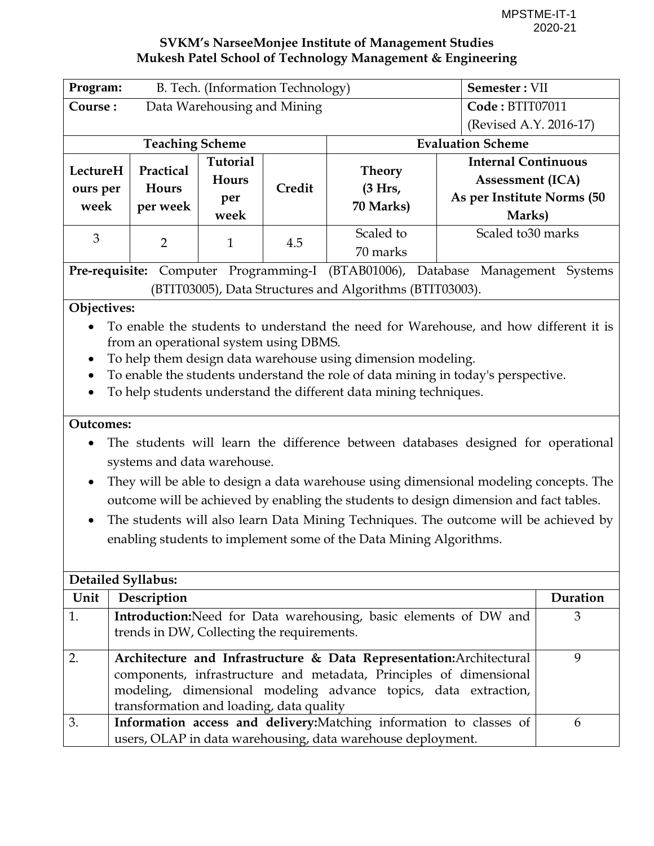<span id="page-0-0"></span>

| Program:                  |                                                                 | B. Tech. (Information Technology) |        |                                                                                        | Semester: VII              |          |
|---------------------------|-----------------------------------------------------------------|-----------------------------------|--------|----------------------------------------------------------------------------------------|----------------------------|----------|
| Course:                   | Data Warehousing and Mining                                     |                                   |        | Code: BTIT07011                                                                        |                            |          |
|                           |                                                                 |                                   |        |                                                                                        | (Revised A.Y. 2016-17)     |          |
| <b>Teaching Scheme</b>    |                                                                 |                                   |        | <b>Evaluation Scheme</b>                                                               |                            |          |
|                           | Practical                                                       | Tutorial                          |        |                                                                                        | <b>Internal Continuous</b> |          |
| LectureH                  |                                                                 | <b>Hours</b>                      |        | <b>Theory</b>                                                                          | <b>Assessment (ICA)</b>    |          |
| ours per                  | Hours                                                           | per                               | Credit | (3 Hrs,                                                                                | As per Institute Norms (50 |          |
| week                      | per week                                                        | week                              |        | 70 Marks)                                                                              | Marks)                     |          |
| 3                         |                                                                 |                                   |        | Scaled to                                                                              | Scaled to 30 marks         |          |
|                           | $\overline{2}$                                                  | $\mathbf{1}$                      | 4.5    | 70 marks                                                                               |                            |          |
|                           |                                                                 |                                   |        | Pre-requisite: Computer Programming-I (BTAB01006), Database Management Systems         |                            |          |
|                           |                                                                 |                                   |        | (BTIT03005), Data Structures and Algorithms (BTIT03003).                               |                            |          |
| Objectives:               |                                                                 |                                   |        |                                                                                        |                            |          |
|                           |                                                                 |                                   |        | To enable the students to understand the need for Warehouse, and how different it is   |                            |          |
|                           | from an operational system using DBMS.                          |                                   |        |                                                                                        |                            |          |
| $\bullet$                 |                                                                 |                                   |        | To help them design data warehouse using dimension modeling.                           |                            |          |
|                           |                                                                 |                                   |        | To enable the students understand the role of data mining in today's perspective.      |                            |          |
| $\bullet$                 |                                                                 |                                   |        | To help students understand the different data mining techniques.                      |                            |          |
|                           |                                                                 |                                   |        |                                                                                        |                            |          |
| <b>Outcomes:</b>          |                                                                 |                                   |        |                                                                                        |                            |          |
|                           |                                                                 |                                   |        | The students will learn the difference between databases designed for operational      |                            |          |
|                           | systems and data warehouse.                                     |                                   |        |                                                                                        |                            |          |
| $\bullet$                 |                                                                 |                                   |        | They will be able to design a data warehouse using dimensional modeling concepts. The  |                            |          |
|                           |                                                                 |                                   |        | outcome will be achieved by enabling the students to design dimension and fact tables. |                            |          |
| $\bullet$                 |                                                                 |                                   |        | The students will also learn Data Mining Techniques. The outcome will be achieved by   |                            |          |
|                           |                                                                 |                                   |        | enabling students to implement some of the Data Mining Algorithms.                     |                            |          |
|                           |                                                                 |                                   |        |                                                                                        |                            |          |
|                           |                                                                 |                                   |        |                                                                                        |                            |          |
| <b>Detailed Syllabus:</b> |                                                                 |                                   |        |                                                                                        |                            |          |
| Unit                      | Description                                                     |                                   |        |                                                                                        |                            | Duration |
| 1.                        |                                                                 |                                   |        | Introduction: Need for Data warehousing, basic elements of DW and                      |                            | 3        |
|                           | trends in DW, Collecting the requirements.                      |                                   |        |                                                                                        |                            |          |
| 2.                        |                                                                 |                                   |        | Architecture and Infrastructure & Data Representation: Architectural                   |                            | 9        |
|                           |                                                                 |                                   |        | components, infrastructure and metadata, Principles of dimensional                     |                            |          |
|                           | modeling, dimensional modeling advance topics, data extraction, |                                   |        |                                                                                        |                            |          |

transformation and loading, data quality 3. **Information access and delivery:**Matching information to classes of users, OLAP in data warehousing, data warehouse deployment. 6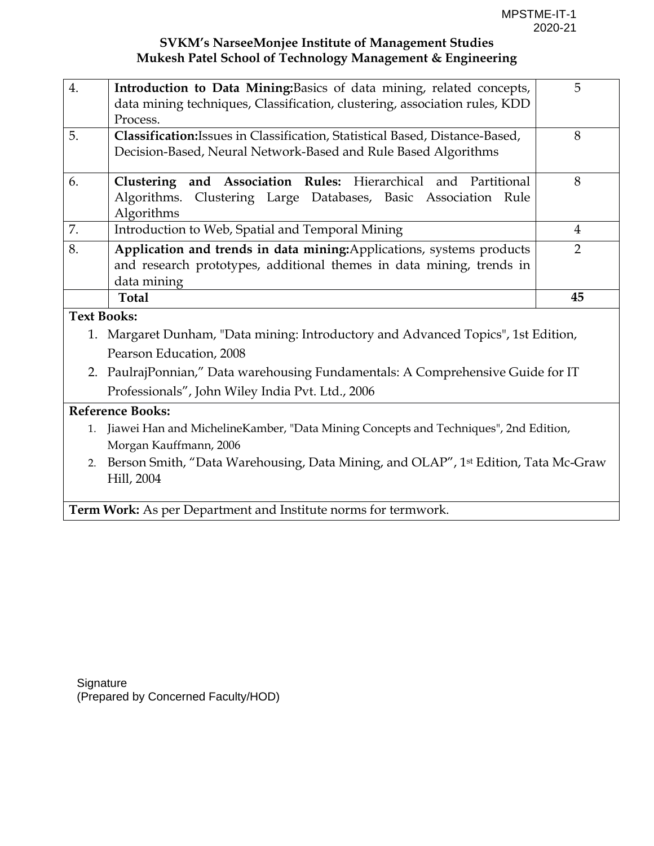| $\overline{4}$ .   | Introduction to Data Mining: Basics of data mining, related concepts,               | 5              |  |  |  |  |  |
|--------------------|-------------------------------------------------------------------------------------|----------------|--|--|--|--|--|
|                    | data mining techniques, Classification, clustering, association rules, KDD          |                |  |  |  |  |  |
|                    | Process.                                                                            |                |  |  |  |  |  |
| 5.                 | Classification: Issues in Classification, Statistical Based, Distance-Based,        | 8              |  |  |  |  |  |
|                    | Decision-Based, Neural Network-Based and Rule Based Algorithms                      |                |  |  |  |  |  |
| 6.                 | Clustering and Association Rules: Hierarchical and Partitional                      | 8              |  |  |  |  |  |
|                    | Algorithms. Clustering Large Databases, Basic Association Rule                      |                |  |  |  |  |  |
|                    | Algorithms                                                                          |                |  |  |  |  |  |
| 7.                 | Introduction to Web, Spatial and Temporal Mining                                    | $\overline{4}$ |  |  |  |  |  |
| 8.                 | Application and trends in data mining: Applications, systems products               | 2              |  |  |  |  |  |
|                    | and research prototypes, additional themes in data mining, trends in                |                |  |  |  |  |  |
|                    | data mining                                                                         |                |  |  |  |  |  |
|                    |                                                                                     |                |  |  |  |  |  |
|                    | <b>Total</b>                                                                        | 45             |  |  |  |  |  |
| <b>Text Books:</b> |                                                                                     |                |  |  |  |  |  |
|                    | 1. Margaret Dunham, "Data mining: Introductory and Advanced Topics", 1st Edition,   |                |  |  |  |  |  |
|                    | Pearson Education, 2008                                                             |                |  |  |  |  |  |
|                    | 2. PaulrajPonnian," Data warehousing Fundamentals: A Comprehensive Guide for IT     |                |  |  |  |  |  |
|                    | Professionals", John Wiley India Pvt. Ltd., 2006                                    |                |  |  |  |  |  |
|                    | <b>Reference Books:</b>                                                             |                |  |  |  |  |  |
| 1.                 | Jiawei Han and MichelineKamber, "Data Mining Concepts and Techniques", 2nd Edition, |                |  |  |  |  |  |
|                    | Morgan Kauffmann, 2006                                                              |                |  |  |  |  |  |

**Term Work:** As per Department and Institute norms for termwork.

**Signature** (Prepared by Concerned Faculty/HOD)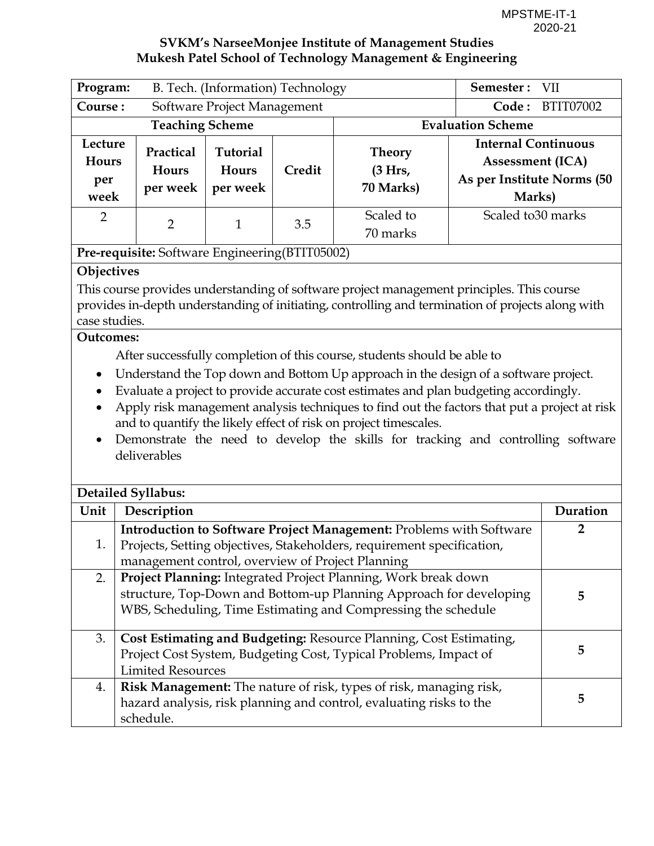| Program:                                                                                                                                                                                                                                                                                                                                                                                                                                                                                                                                                                                                                                                                                                                                                                                           | B. Tech. (Information) Technology                                                                                                                                                                          |                                      |                          | Semester: VII                                                                                                                                                                                     |                                                                                               |                |
|----------------------------------------------------------------------------------------------------------------------------------------------------------------------------------------------------------------------------------------------------------------------------------------------------------------------------------------------------------------------------------------------------------------------------------------------------------------------------------------------------------------------------------------------------------------------------------------------------------------------------------------------------------------------------------------------------------------------------------------------------------------------------------------------------|------------------------------------------------------------------------------------------------------------------------------------------------------------------------------------------------------------|--------------------------------------|--------------------------|---------------------------------------------------------------------------------------------------------------------------------------------------------------------------------------------------|-----------------------------------------------------------------------------------------------|----------------|
| Course:<br>Software Project Management                                                                                                                                                                                                                                                                                                                                                                                                                                                                                                                                                                                                                                                                                                                                                             |                                                                                                                                                                                                            |                                      | Code:                    | BTIT07002                                                                                                                                                                                         |                                                                                               |                |
| <b>Teaching Scheme</b>                                                                                                                                                                                                                                                                                                                                                                                                                                                                                                                                                                                                                                                                                                                                                                             |                                                                                                                                                                                                            |                                      | <b>Evaluation Scheme</b> |                                                                                                                                                                                                   |                                                                                               |                |
| Lecture<br><b>Hours</b><br>per<br>week                                                                                                                                                                                                                                                                                                                                                                                                                                                                                                                                                                                                                                                                                                                                                             | Practical<br>Hours<br>per week                                                                                                                                                                             | <b>Tutorial</b><br>Hours<br>per week | Credit                   | <b>Theory</b><br>(3 Hrs,<br>70 Marks)                                                                                                                                                             | <b>Internal Continuous</b><br><b>Assessment (ICA)</b><br>As per Institute Norms (50<br>Marks) |                |
| $\overline{2}$                                                                                                                                                                                                                                                                                                                                                                                                                                                                                                                                                                                                                                                                                                                                                                                     | $\overline{2}$                                                                                                                                                                                             | $\mathbf{1}$                         | 3.5                      | Scaled to<br>70 marks                                                                                                                                                                             | Scaled to 30 marks                                                                            |                |
|                                                                                                                                                                                                                                                                                                                                                                                                                                                                                                                                                                                                                                                                                                                                                                                                    | Pre-requisite: Software Engineering(BTIT05002)                                                                                                                                                             |                                      |                          |                                                                                                                                                                                                   |                                                                                               |                |
| Objectives<br>This course provides understanding of software project management principles. This course<br>provides in-depth understanding of initiating, controlling and termination of projects along with<br>case studies.<br><b>Outcomes:</b><br>After successfully completion of this course, students should be able to<br>Understand the Top down and Bottom Up approach in the design of a software project.<br>$\bullet$<br>Evaluate a project to provide accurate cost estimates and plan budgeting accordingly.<br>Apply risk management analysis techniques to find out the factors that put a project at risk<br>and to quantify the likely effect of risk on project timescales.<br>Demonstrate the need to develop the skills for tracking and controlling software<br>deliverables |                                                                                                                                                                                                            |                                      |                          |                                                                                                                                                                                                   |                                                                                               |                |
|                                                                                                                                                                                                                                                                                                                                                                                                                                                                                                                                                                                                                                                                                                                                                                                                    | <b>Detailed Syllabus:</b>                                                                                                                                                                                  |                                      |                          |                                                                                                                                                                                                   |                                                                                               |                |
| Unit                                                                                                                                                                                                                                                                                                                                                                                                                                                                                                                                                                                                                                                                                                                                                                                               | Description                                                                                                                                                                                                |                                      |                          |                                                                                                                                                                                                   |                                                                                               | Duration       |
| 1.                                                                                                                                                                                                                                                                                                                                                                                                                                                                                                                                                                                                                                                                                                                                                                                                 |                                                                                                                                                                                                            |                                      |                          | Introduction to Software Project Management: Problems with Software<br>Projects, Setting objectives, Stakeholders, requirement specification,<br>management control, overview of Project Planning |                                                                                               | $\overline{2}$ |
| 2.                                                                                                                                                                                                                                                                                                                                                                                                                                                                                                                                                                                                                                                                                                                                                                                                 | Project Planning: Integrated Project Planning, Work break down<br>structure, Top-Down and Bottom-up Planning Approach for developing<br>5<br>WBS, Scheduling, Time Estimating and Compressing the schedule |                                      |                          |                                                                                                                                                                                                   |                                                                                               |                |
| 3.                                                                                                                                                                                                                                                                                                                                                                                                                                                                                                                                                                                                                                                                                                                                                                                                 | <b>Limited Resources</b>                                                                                                                                                                                   |                                      |                          | Cost Estimating and Budgeting: Resource Planning, Cost Estimating,<br>Project Cost System, Budgeting Cost, Typical Problems, Impact of                                                            |                                                                                               | 5              |
| 4.                                                                                                                                                                                                                                                                                                                                                                                                                                                                                                                                                                                                                                                                                                                                                                                                 | schedule.                                                                                                                                                                                                  |                                      |                          | Risk Management: The nature of risk, types of risk, managing risk,<br>hazard analysis, risk planning and control, evaluating risks to the                                                         |                                                                                               | 5              |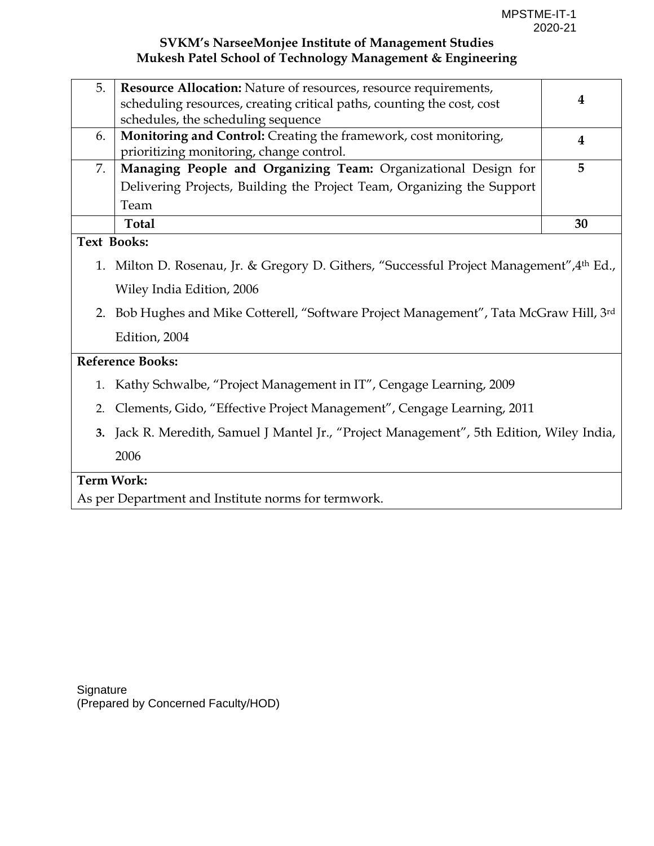| 5.                 | <b>Resource Allocation:</b> Nature of resources, resource requirements,                   |    |
|--------------------|-------------------------------------------------------------------------------------------|----|
|                    | scheduling resources, creating critical paths, counting the cost, cost                    | 4  |
|                    | schedules, the scheduling sequence                                                        |    |
| 6.                 | Monitoring and Control: Creating the framework, cost monitoring,                          | 4  |
|                    | prioritizing monitoring, change control.                                                  |    |
| 7.                 | Managing People and Organizing Team: Organizational Design for                            | 5  |
|                    | Delivering Projects, Building the Project Team, Organizing the Support                    |    |
|                    | Team                                                                                      |    |
|                    | <b>Total</b>                                                                              | 30 |
| <b>Text Books:</b> |                                                                                           |    |
|                    | 1. Milton D. Rosenau, Jr. & Gregory D. Githers, "Successful Project Management", 4th Ed., |    |
|                    | Wiley India Edition, 2006                                                                 |    |
|                    | 2. Bob Hughes and Mike Cotterell, "Software Project Management", Tata McGraw Hill, 3rd    |    |

Edition, 2004

#### **Reference Books:**

- 1. Kathy Schwalbe, "Project Management in IT", Cengage Learning, 2009
- 2. Clements, Gido, "Effective Project Management", Cengage Learning, 2011
- **3.** Jack R. Meredith, Samuel J Mantel Jr., "Project Management", 5th Edition, Wiley India, 2006

#### **Term Work:**

As per Department and Institute norms for termwork.

**Signature** (Prepared by Concerned Faculty/HOD)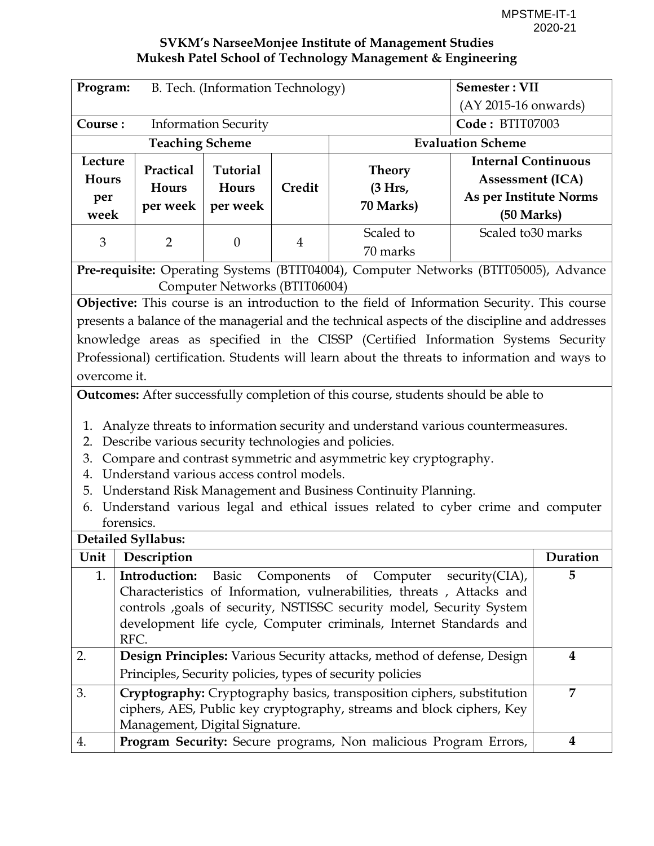| Program:                               | B. Tech. (Information Technology)                    |                               |                 | Semester: VII                                                                                   |                            |                      |  |
|----------------------------------------|------------------------------------------------------|-------------------------------|-----------------|-------------------------------------------------------------------------------------------------|----------------------------|----------------------|--|
|                                        |                                                      |                               |                 |                                                                                                 |                            | (AY 2015-16 onwards) |  |
| Course:<br><b>Information Security</b> |                                                      |                               | Code: BTIT07003 |                                                                                                 |                            |                      |  |
|                                        | <b>Teaching Scheme</b>                               |                               |                 |                                                                                                 | <b>Evaluation Scheme</b>   |                      |  |
| Lecture                                | Practical                                            | Tutorial                      |                 | <b>Theory</b>                                                                                   | <b>Internal Continuous</b> |                      |  |
| Hours                                  | Hours                                                | Hours                         | Credit          | (3 Hrs,                                                                                         | <b>Assessment (ICA)</b>    |                      |  |
| per                                    | per week                                             | per week                      |                 | 70 Marks)                                                                                       | As per Institute Norms     |                      |  |
| week                                   |                                                      |                               |                 |                                                                                                 | (50 Marks)                 |                      |  |
| 3                                      | $\overline{2}$                                       | $\boldsymbol{0}$              | $\overline{4}$  | Scaled to<br>70 marks                                                                           | Scaled to 30 marks         |                      |  |
|                                        |                                                      |                               |                 | Pre-requisite: Operating Systems (BTIT04004), Computer Networks (BTIT05005), Advance            |                            |                      |  |
|                                        |                                                      | Computer Networks (BTIT06004) |                 |                                                                                                 |                            |                      |  |
|                                        |                                                      |                               |                 | Objective: This course is an introduction to the field of Information Security. This course     |                            |                      |  |
|                                        |                                                      |                               |                 | presents a balance of the managerial and the technical aspects of the discipline and addresses  |                            |                      |  |
|                                        |                                                      |                               |                 | knowledge areas as specified in the CISSP (Certified Information Systems Security               |                            |                      |  |
|                                        |                                                      |                               |                 | Professional) certification. Students will learn about the threats to information and ways to   |                            |                      |  |
| overcome it.                           |                                                      |                               |                 |                                                                                                 |                            |                      |  |
|                                        |                                                      |                               |                 | <b>Outcomes:</b> After successfully completion of this course, students should be able to       |                            |                      |  |
| 1.                                     |                                                      |                               |                 | Analyze threats to information security and understand various countermeasures.                 |                            |                      |  |
| 2.                                     | Describe various security technologies and policies. |                               |                 |                                                                                                 |                            |                      |  |
| 3.                                     |                                                      |                               |                 | Compare and contrast symmetric and asymmetric key cryptography.                                 |                            |                      |  |
| 4.                                     | Understand various access control models.            |                               |                 |                                                                                                 |                            |                      |  |
| 5.                                     |                                                      |                               |                 | Understand Risk Management and Business Continuity Planning.                                    |                            |                      |  |
| 6.                                     |                                                      |                               |                 | Understand various legal and ethical issues related to cyber crime and computer                 |                            |                      |  |
|                                        | forensics.                                           |                               |                 |                                                                                                 |                            |                      |  |
|                                        | <b>Detailed Syllabus:</b>                            |                               |                 |                                                                                                 |                            |                      |  |
|                                        | Unit   Description                                   |                               |                 |                                                                                                 |                            | Duration             |  |
| 1.                                     | Introduction:                                        | Basic                         |                 | Components of Computer<br>Characteristics of Information, vulnerabilities, threats, Attacks and | $security(CHA)$ ,          | 5                    |  |
|                                        |                                                      |                               |                 | controls , goals of security, NSTISSC security model, Security System                           |                            |                      |  |
|                                        |                                                      |                               |                 | development life cycle, Computer criminals, Internet Standards and                              |                            |                      |  |
|                                        | RFC.                                                 |                               |                 |                                                                                                 |                            |                      |  |
| 2.                                     |                                                      |                               |                 | Design Principles: Various Security attacks, method of defense, Design                          |                            | 4                    |  |
|                                        |                                                      |                               |                 | Principles, Security policies, types of security policies                                       |                            |                      |  |
| 3.                                     |                                                      |                               |                 | Cryptography: Cryptography basics, transposition ciphers, substitution                          |                            | $\overline{7}$       |  |
|                                        |                                                      |                               |                 | ciphers, AES, Public key cryptography, streams and block ciphers, Key                           |                            |                      |  |
|                                        | Management, Digital Signature.                       |                               |                 |                                                                                                 |                            |                      |  |
| 4.                                     |                                                      |                               |                 | Program Security: Secure programs, Non malicious Program Errors,                                |                            | 4                    |  |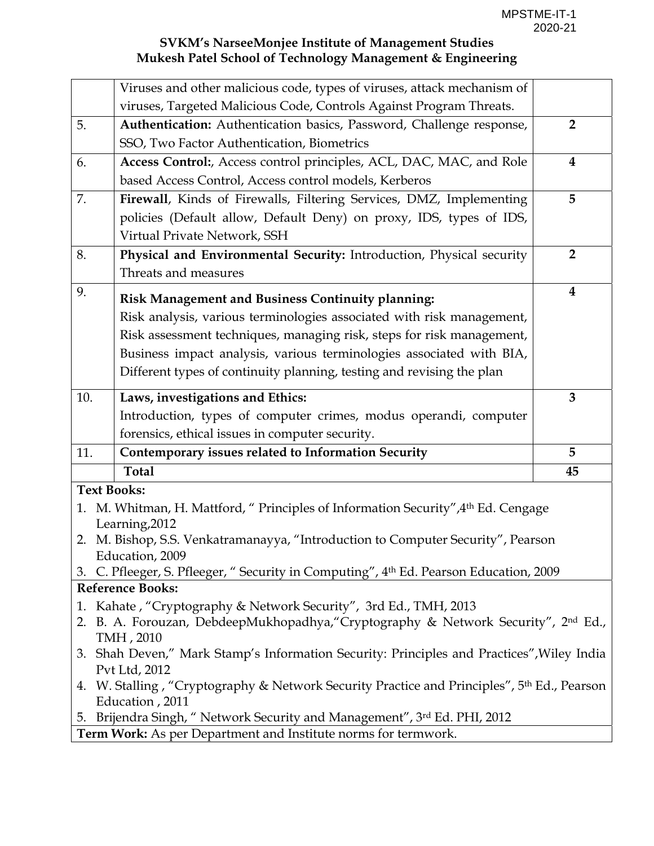|                    | Viruses and other malicious code, types of viruses, attack mechanism of                                                    |                |
|--------------------|----------------------------------------------------------------------------------------------------------------------------|----------------|
|                    | viruses, Targeted Malicious Code, Controls Against Program Threats.                                                        |                |
| 5.                 | Authentication: Authentication basics, Password, Challenge response,                                                       | $\overline{2}$ |
|                    | SSO, Two Factor Authentication, Biometrics                                                                                 |                |
| 6.                 | Access Control:, Access control principles, ACL, DAC, MAC, and Role                                                        | $\bf{4}$       |
|                    | based Access Control, Access control models, Kerberos                                                                      |                |
| 7.                 | Firewall, Kinds of Firewalls, Filtering Services, DMZ, Implementing                                                        | 5              |
|                    | policies (Default allow, Default Deny) on proxy, IDS, types of IDS,                                                        |                |
|                    | Virtual Private Network, SSH                                                                                               |                |
| 8.                 | Physical and Environmental Security: Introduction, Physical security                                                       | $\overline{2}$ |
|                    | Threats and measures                                                                                                       |                |
| 9.                 | <b>Risk Management and Business Continuity planning:</b>                                                                   | $\bf{4}$       |
|                    | Risk analysis, various terminologies associated with risk management,                                                      |                |
|                    | Risk assessment techniques, managing risk, steps for risk management,                                                      |                |
|                    | Business impact analysis, various terminologies associated with BIA,                                                       |                |
|                    | Different types of continuity planning, testing and revising the plan                                                      |                |
|                    |                                                                                                                            |                |
| 10.                | Laws, investigations and Ethics:                                                                                           | $\overline{3}$ |
|                    | Introduction, types of computer crimes, modus operandi, computer                                                           |                |
|                    | forensics, ethical issues in computer security.                                                                            |                |
| 11.                | Contemporary issues related to Information Security                                                                        | 5              |
|                    | <b>Total</b>                                                                                                               | 45             |
| <b>Text Books:</b> |                                                                                                                            |                |
| 1.                 | M. Whitman, H. Mattford, " Principles of Information Security", 4 <sup>th</sup> Ed. Cengage                                |                |
|                    | Learning, 2012                                                                                                             |                |
|                    | 2. M. Bishop, S.S. Venkatramanayya, "Introduction to Computer Security", Pearson<br>Education, 2009                        |                |
|                    | 3. C. Pfleeger, S. Pfleeger, "Security in Computing", 4th Ed. Pearson Education, 2009                                      |                |
|                    | <b>Reference Books:</b>                                                                                                    |                |
| 1.                 | Kahate, "Cryptography & Network Security", 3rd Ed., TMH, 2013                                                              |                |
|                    | 2. B. A. Forouzan, DebdeepMukhopadhya, "Cryptography & Network Security", 2nd Ed.,                                         |                |
|                    | TMH, 2010                                                                                                                  |                |
|                    | 3. Shah Deven," Mark Stamp's Information Security: Principles and Practices", Wiley India                                  |                |
|                    | Pvt Ltd, 2012                                                                                                              |                |
|                    | 4. W. Stalling, "Cryptography & Network Security Practice and Principles", 5 <sup>th</sup> Ed., Pearson<br>Education, 2011 |                |
|                    | 5. Brijendra Singh, "Network Security and Management", 3rd Ed. PHI, 2012                                                   |                |
|                    | Term Work: As per Department and Institute norms for termwork.                                                             |                |
|                    |                                                                                                                            |                |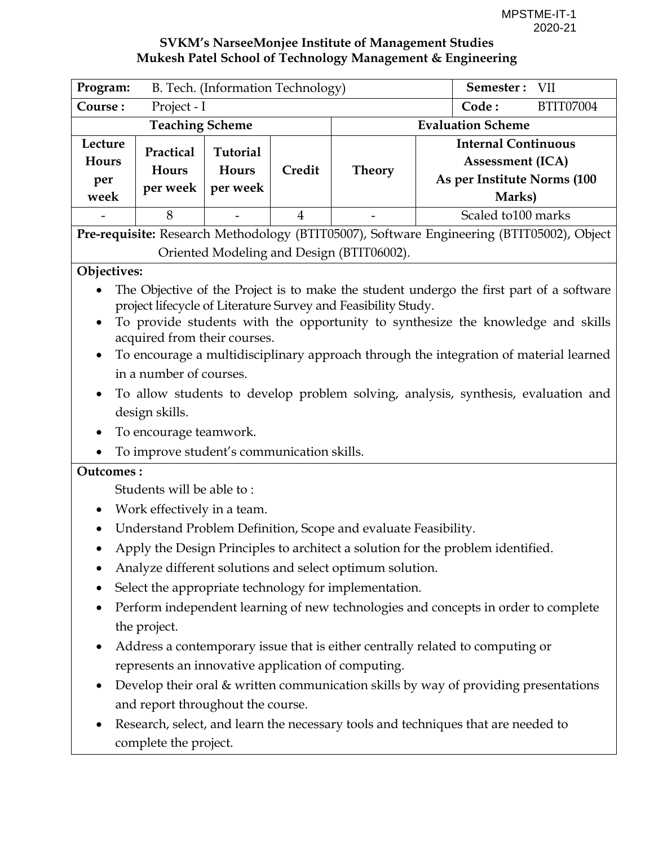| Program:                                                                                                                                                                                                                                                                                                                                                                                                                                                                                                                          |                                            | B. Tech. (Information Technology)    |                |                                                                                           |       | Semester: VII                                                                                  |  |
|-----------------------------------------------------------------------------------------------------------------------------------------------------------------------------------------------------------------------------------------------------------------------------------------------------------------------------------------------------------------------------------------------------------------------------------------------------------------------------------------------------------------------------------|--------------------------------------------|--------------------------------------|----------------|-------------------------------------------------------------------------------------------|-------|------------------------------------------------------------------------------------------------|--|
| Course:                                                                                                                                                                                                                                                                                                                                                                                                                                                                                                                           | Project - I                                |                                      |                |                                                                                           | Code: | BTIT07004                                                                                      |  |
|                                                                                                                                                                                                                                                                                                                                                                                                                                                                                                                                   | <b>Teaching Scheme</b>                     |                                      |                |                                                                                           |       | <b>Evaluation Scheme</b>                                                                       |  |
| Lecture<br>Hours<br>per<br>week                                                                                                                                                                                                                                                                                                                                                                                                                                                                                                   | Practical<br>Hours<br>per week             | <b>Tutorial</b><br>Hours<br>per week | Credit         | <b>Theory</b>                                                                             |       | <b>Internal Continuous</b><br><b>Assessment (ICA)</b><br>As per Institute Norms (100<br>Marks) |  |
|                                                                                                                                                                                                                                                                                                                                                                                                                                                                                                                                   | 8                                          |                                      | $\overline{4}$ |                                                                                           |       | Scaled to 100 marks                                                                            |  |
|                                                                                                                                                                                                                                                                                                                                                                                                                                                                                                                                   |                                            |                                      |                | Pre-requisite: Research Methodology (BTIT05007), Software Engineering (BTIT05002), Object |       |                                                                                                |  |
| Oriented Modeling and Design (BTIT06002).                                                                                                                                                                                                                                                                                                                                                                                                                                                                                         |                                            |                                      |                |                                                                                           |       |                                                                                                |  |
| Objectives:                                                                                                                                                                                                                                                                                                                                                                                                                                                                                                                       |                                            |                                      |                |                                                                                           |       |                                                                                                |  |
| The Objective of the Project is to make the student undergo the first part of a software<br>project lifecycle of Literature Survey and Feasibility Study.<br>To provide students with the opportunity to synthesize the knowledge and skills<br>acquired from their courses.<br>To encourage a multidisciplinary approach through the integration of material learned<br>in a number of courses.<br>To allow students to develop problem solving, analysis, synthesis, evaluation and<br>design skills.<br>To encourage teamwork. |                                            |                                      |                |                                                                                           |       |                                                                                                |  |
| <b>Outcomes:</b>                                                                                                                                                                                                                                                                                                                                                                                                                                                                                                                  | To improve student's communication skills. |                                      |                |                                                                                           |       |                                                                                                |  |
|                                                                                                                                                                                                                                                                                                                                                                                                                                                                                                                                   | Students will be able to:                  |                                      |                |                                                                                           |       |                                                                                                |  |
| $\bullet$                                                                                                                                                                                                                                                                                                                                                                                                                                                                                                                         | Work effectively in a team.                |                                      |                |                                                                                           |       |                                                                                                |  |
|                                                                                                                                                                                                                                                                                                                                                                                                                                                                                                                                   |                                            |                                      |                | Understand Problem Definition, Scope and evaluate Feasibility.                            |       |                                                                                                |  |
|                                                                                                                                                                                                                                                                                                                                                                                                                                                                                                                                   |                                            |                                      |                | Apply the Design Principles to architect a solution for the problem identified.           |       |                                                                                                |  |
|                                                                                                                                                                                                                                                                                                                                                                                                                                                                                                                                   |                                            |                                      |                | Analyze different solutions and select optimum solution.                                  |       |                                                                                                |  |
|                                                                                                                                                                                                                                                                                                                                                                                                                                                                                                                                   |                                            |                                      |                | Select the appropriate technology for implementation.                                     |       |                                                                                                |  |
|                                                                                                                                                                                                                                                                                                                                                                                                                                                                                                                                   |                                            |                                      |                | Perform independent learning of new technologies and concepts in order to complete        |       |                                                                                                |  |
|                                                                                                                                                                                                                                                                                                                                                                                                                                                                                                                                   | the project.                               |                                      |                |                                                                                           |       |                                                                                                |  |
|                                                                                                                                                                                                                                                                                                                                                                                                                                                                                                                                   |                                            |                                      |                | Address a contemporary issue that is either centrally related to computing or             |       |                                                                                                |  |
|                                                                                                                                                                                                                                                                                                                                                                                                                                                                                                                                   |                                            |                                      |                | represents an innovative application of computing.                                        |       |                                                                                                |  |
|                                                                                                                                                                                                                                                                                                                                                                                                                                                                                                                                   |                                            |                                      |                | Develop their oral & written communication skills by way of providing presentations       |       |                                                                                                |  |
|                                                                                                                                                                                                                                                                                                                                                                                                                                                                                                                                   | and report throughout the course.          |                                      |                |                                                                                           |       |                                                                                                |  |
|                                                                                                                                                                                                                                                                                                                                                                                                                                                                                                                                   | complete the project.                      |                                      |                | Research, select, and learn the necessary tools and techniques that are needed to         |       |                                                                                                |  |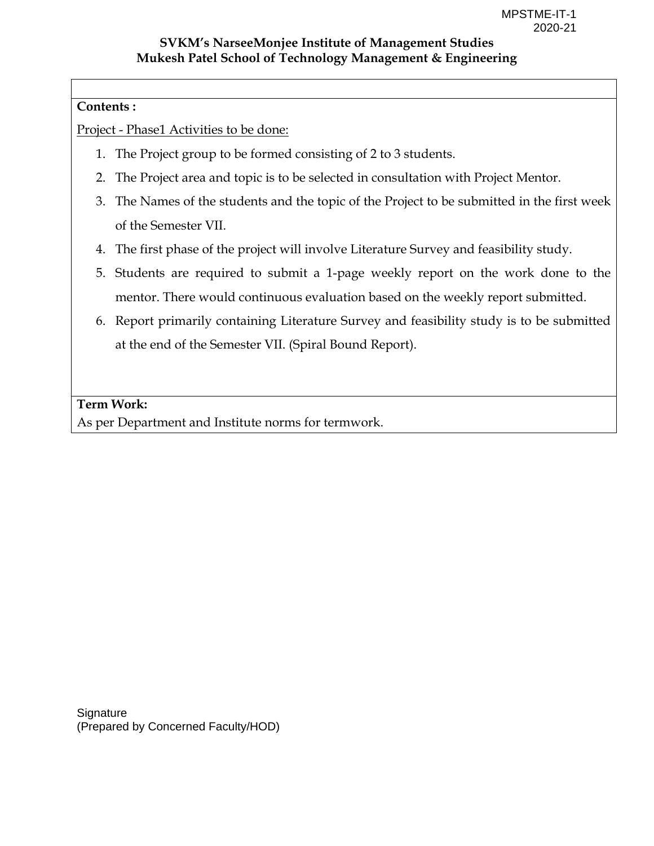#### **Contents :**

Project - Phase1 Activities to be done:

- 1. The Project group to be formed consisting of 2 to 3 students.
- 2. The Project area and topic is to be selected in consultation with Project Mentor.
- 3. The Names of the students and the topic of the Project to be submitted in the first week of the Semester VII.
- 4. The first phase of the project will involve Literature Survey and feasibility study.
- 5. Students are required to submit a 1-page weekly report on the work done to the mentor. There would continuous evaluation based on the weekly report submitted.
- 6. Report primarily containing Literature Survey and feasibility study is to be submitted at the end of the Semester VII. (Spiral Bound Report).

#### **Term Work:**

As per Department and Institute norms for termwork.

**Signature** (Prepared by Concerned Faculty/HOD)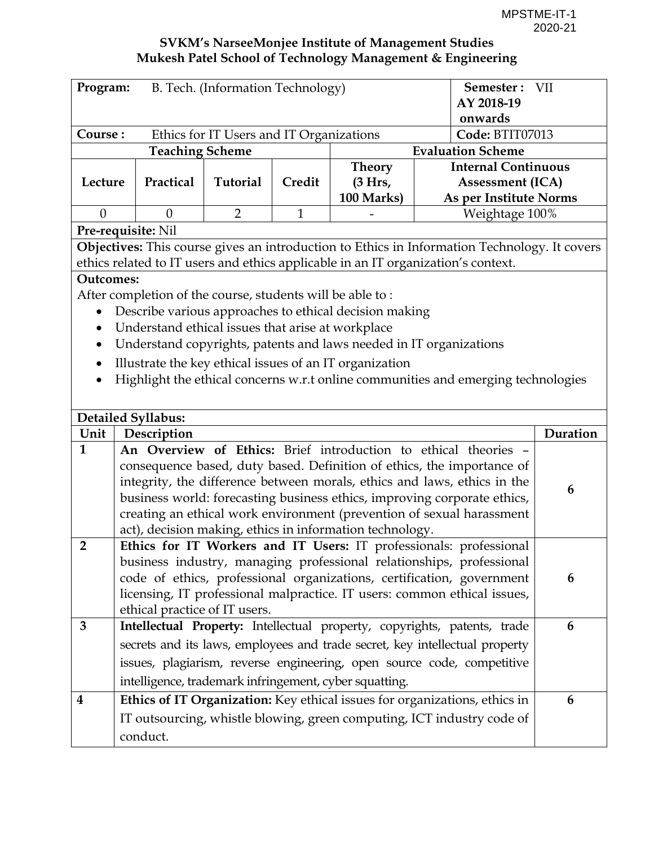| Program:         | B. Tech. (Information Technology)                         |                                          |              | Semester: VII                                            |                                                                                                                                               |          |
|------------------|-----------------------------------------------------------|------------------------------------------|--------------|----------------------------------------------------------|-----------------------------------------------------------------------------------------------------------------------------------------------|----------|
|                  |                                                           |                                          |              |                                                          | AY 2018-19                                                                                                                                    |          |
|                  |                                                           |                                          |              |                                                          | onwards                                                                                                                                       |          |
| Course:          | <b>Teaching Scheme</b>                                    | Ethics for IT Users and IT Organizations |              |                                                          | Code: BTIT07013<br><b>Evaluation Scheme</b>                                                                                                   |          |
|                  |                                                           |                                          |              | <b>Theory</b>                                            | <b>Internal Continuous</b>                                                                                                                    |          |
| Lecture          | Practical                                                 | Tutorial                                 | Credit       | (3 Hrs,                                                  | <b>Assessment (ICA)</b>                                                                                                                       |          |
|                  |                                                           |                                          |              | 100 Marks)                                               | As per Institute Norms                                                                                                                        |          |
| $\theta$         | $\theta$                                                  | $\overline{2}$                           | $\mathbf{1}$ |                                                          | Weightage 100%                                                                                                                                |          |
|                  | Pre-requisite: Nil                                        |                                          |              |                                                          |                                                                                                                                               |          |
|                  |                                                           |                                          |              |                                                          | Objectives: This course gives an introduction to Ethics in Information Technology. It covers                                                  |          |
|                  |                                                           |                                          |              |                                                          | ethics related to IT users and ethics applicable in an IT organization's context.                                                             |          |
| <b>Outcomes:</b> |                                                           |                                          |              |                                                          |                                                                                                                                               |          |
|                  | After completion of the course, students will be able to: |                                          |              |                                                          |                                                                                                                                               |          |
| $\bullet$        | Describe various approaches to ethical decision making    |                                          |              |                                                          |                                                                                                                                               |          |
|                  | Understand ethical issues that arise at workplace         |                                          |              |                                                          |                                                                                                                                               |          |
| $\bullet$        |                                                           |                                          |              |                                                          | Understand copyrights, patents and laws needed in IT organizations                                                                            |          |
| $\bullet$        | Illustrate the key ethical issues of an IT organization   |                                          |              |                                                          |                                                                                                                                               |          |
|                  |                                                           |                                          |              |                                                          | Highlight the ethical concerns w.r.t online communities and emerging technologies                                                             |          |
|                  |                                                           |                                          |              |                                                          |                                                                                                                                               |          |
|                  | <b>Detailed Syllabus:</b>                                 |                                          |              |                                                          |                                                                                                                                               |          |
| Unit             | Description                                               |                                          |              |                                                          |                                                                                                                                               | Duration |
| $\mathbf{1}$     |                                                           |                                          |              |                                                          | An Overview of Ethics: Brief introduction to ethical theories -                                                                               |          |
|                  |                                                           |                                          |              |                                                          | consequence based, duty based. Definition of ethics, the importance of                                                                        |          |
|                  |                                                           |                                          |              |                                                          | integrity, the difference between morals, ethics and laws, ethics in the                                                                      | 6        |
|                  |                                                           |                                          |              |                                                          | business world: forecasting business ethics, improving corporate ethics,                                                                      |          |
|                  |                                                           |                                          |              |                                                          | creating an ethical work environment (prevention of sexual harassment                                                                         |          |
|                  |                                                           |                                          |              | act), decision making, ethics in information technology. |                                                                                                                                               |          |
| $\overline{2}$   |                                                           |                                          |              |                                                          | Ethics for IT Workers and IT Users: IT professionals: professional                                                                            |          |
|                  |                                                           |                                          |              |                                                          | business industry, managing professional relationships, professional<br>code of ethics, professional organizations, certification, government | 6        |
|                  |                                                           |                                          |              |                                                          | licensing, IT professional malpractice. IT users: common ethical issues,                                                                      |          |
|                  | ethical practice of IT users.                             |                                          |              |                                                          |                                                                                                                                               |          |
| 3                |                                                           |                                          |              |                                                          | Intellectual Property: Intellectual property, copyrights, patents, trade                                                                      | 6        |
|                  |                                                           |                                          |              |                                                          | secrets and its laws, employees and trade secret, key intellectual property                                                                   |          |
|                  |                                                           |                                          |              |                                                          | issues, plagiarism, reverse engineering, open source code, competitive                                                                        |          |
|                  | intelligence, trademark infringement, cyber squatting.    |                                          |              |                                                          |                                                                                                                                               |          |
| $\boldsymbol{4}$ |                                                           |                                          |              |                                                          |                                                                                                                                               | 6        |
|                  |                                                           |                                          |              |                                                          | Ethics of IT Organization: Key ethical issues for organizations, ethics in                                                                    |          |
|                  |                                                           |                                          |              |                                                          | IT outsourcing, whistle blowing, green computing, ICT industry code of                                                                        |          |
|                  | conduct.                                                  |                                          |              |                                                          |                                                                                                                                               |          |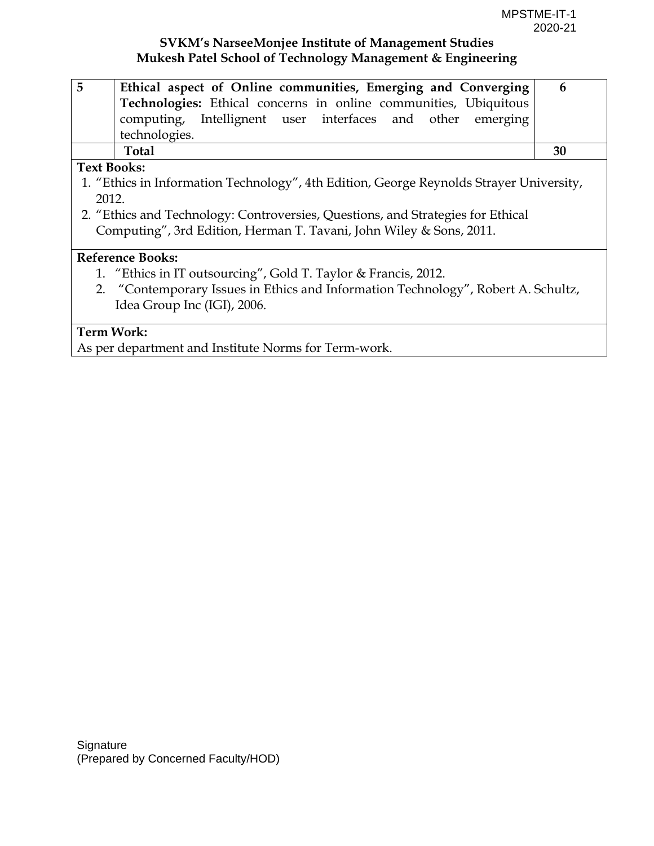| 5<br>Ethical aspect of Online communities, Emerging and Converging                      | 6  |
|-----------------------------------------------------------------------------------------|----|
| Technologies: Ethical concerns in online communities, Ubiquitous                        |    |
| computing, Intellignent user interfaces and other emerging                              |    |
| technologies.                                                                           |    |
| <b>Total</b>                                                                            | 30 |
| <b>Text Books:</b>                                                                      |    |
| 1. "Ethics in Information Technology", 4th Edition, George Reynolds Strayer University, |    |
| 2012.                                                                                   |    |
| 2. "Ethics and Technology: Controversies, Questions, and Strategies for Ethical         |    |
| Computing", 3rd Edition, Herman T. Tavani, John Wiley & Sons, 2011.                     |    |
|                                                                                         |    |
| <b>Reference Books:</b>                                                                 |    |
| 1. "Ethics in IT outsourcing", Gold T. Taylor & Francis, 2012.                          |    |
| 2. "Contemporary Issues in Ethics and Information Technology", Robert A. Schultz,       |    |
| Idea Group Inc (IGI), 2006.                                                             |    |
|                                                                                         |    |
| <b>Term Work:</b>                                                                       |    |

As per department and Institute Norms for Term-work.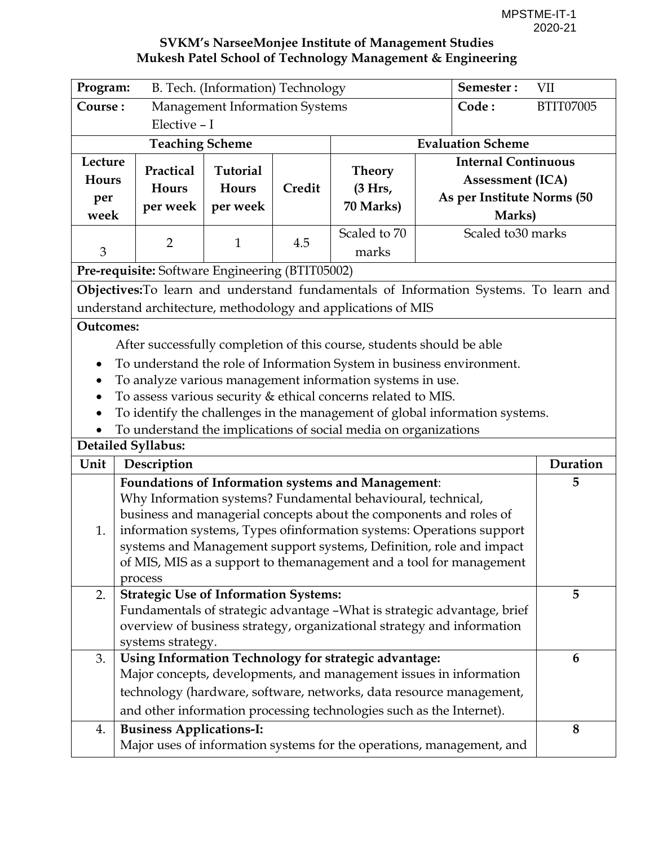| Program:                        | B. Tech. (Information) Technology                                                                                                                                                                                       |                                             |        | Semester:                                                                                                                 | VII                                                                                                                                                                                                                                                                                       |          |
|---------------------------------|-------------------------------------------------------------------------------------------------------------------------------------------------------------------------------------------------------------------------|---------------------------------------------|--------|---------------------------------------------------------------------------------------------------------------------------|-------------------------------------------------------------------------------------------------------------------------------------------------------------------------------------------------------------------------------------------------------------------------------------------|----------|
| Course:                         | <b>Management Information Systems</b><br>Code:                                                                                                                                                                          |                                             |        | <b>BTIT07005</b>                                                                                                          |                                                                                                                                                                                                                                                                                           |          |
|                                 | Elective - I                                                                                                                                                                                                            |                                             |        |                                                                                                                           |                                                                                                                                                                                                                                                                                           |          |
|                                 | <b>Teaching Scheme</b>                                                                                                                                                                                                  |                                             |        |                                                                                                                           | <b>Evaluation Scheme</b>                                                                                                                                                                                                                                                                  |          |
| Lecture<br>Hours<br>per<br>week | Practical<br>Hours<br>per week                                                                                                                                                                                          | <b>Tutorial</b><br><b>Hours</b><br>per week | Credit | <b>Theory</b><br>(3 Hrs,<br>70 Marks)                                                                                     | <b>Internal Continuous</b><br><b>Assessment (ICA)</b><br>As per Institute Norms (50<br>Marks)                                                                                                                                                                                             |          |
| 3                               | $\overline{2}$                                                                                                                                                                                                          | $\mathbf{1}$                                | 4.5    | Scaled to 70<br>marks                                                                                                     | Scaled to 30 marks                                                                                                                                                                                                                                                                        |          |
|                                 | Pre-requisite: Software Engineering (BTIT05002)                                                                                                                                                                         |                                             |        |                                                                                                                           |                                                                                                                                                                                                                                                                                           |          |
|                                 |                                                                                                                                                                                                                         |                                             |        |                                                                                                                           | Objectives: To learn and understand fundamentals of Information Systems. To learn and                                                                                                                                                                                                     |          |
|                                 | understand architecture, methodology and applications of MIS                                                                                                                                                            |                                             |        |                                                                                                                           |                                                                                                                                                                                                                                                                                           |          |
| <b>Outcomes:</b>                |                                                                                                                                                                                                                         |                                             |        |                                                                                                                           |                                                                                                                                                                                                                                                                                           |          |
|                                 | After successfully completion of this course, students should be able                                                                                                                                                   |                                             |        |                                                                                                                           |                                                                                                                                                                                                                                                                                           |          |
|                                 |                                                                                                                                                                                                                         |                                             |        |                                                                                                                           | To understand the role of Information System in business environment.                                                                                                                                                                                                                     |          |
| $\bullet$                       | To analyze various management information systems in use.                                                                                                                                                               |                                             |        |                                                                                                                           |                                                                                                                                                                                                                                                                                           |          |
| $\bullet$                       | To assess various security & ethical concerns related to MIS.                                                                                                                                                           |                                             |        |                                                                                                                           |                                                                                                                                                                                                                                                                                           |          |
|                                 |                                                                                                                                                                                                                         |                                             |        |                                                                                                                           | To identify the challenges in the management of global information systems.                                                                                                                                                                                                               |          |
|                                 | To understand the implications of social media on organizations                                                                                                                                                         |                                             |        |                                                                                                                           |                                                                                                                                                                                                                                                                                           |          |
| Unit                            | Detailed Syllabus:<br>Description                                                                                                                                                                                       |                                             |        |                                                                                                                           |                                                                                                                                                                                                                                                                                           | Duration |
|                                 |                                                                                                                                                                                                                         |                                             |        |                                                                                                                           |                                                                                                                                                                                                                                                                                           | 5        |
| 1.                              | process                                                                                                                                                                                                                 |                                             |        | <b>Foundations of Information systems and Management:</b><br>Why Information systems? Fundamental behavioural, technical, | business and managerial concepts about the components and roles of<br>information systems, Types of information systems: Operations support<br>systems and Management support systems, Definition, role and impact<br>of MIS, MIS as a support to themanagement and a tool for management |          |
| 2.                              |                                                                                                                                                                                                                         |                                             |        |                                                                                                                           |                                                                                                                                                                                                                                                                                           | 5        |
|                                 | <b>Strategic Use of Information Systems:</b><br>Fundamentals of strategic advantage - What is strategic advantage, brief<br>overview of business strategy, organizational strategy and information<br>systems strategy. |                                             |        |                                                                                                                           |                                                                                                                                                                                                                                                                                           |          |
| 3.                              |                                                                                                                                                                                                                         |                                             |        | Using Information Technology for strategic advantage:                                                                     |                                                                                                                                                                                                                                                                                           | 6        |
|                                 |                                                                                                                                                                                                                         |                                             |        |                                                                                                                           | Major concepts, developments, and management issues in information                                                                                                                                                                                                                        |          |
|                                 |                                                                                                                                                                                                                         |                                             |        |                                                                                                                           | technology (hardware, software, networks, data resource management,                                                                                                                                                                                                                       |          |
|                                 |                                                                                                                                                                                                                         |                                             |        |                                                                                                                           | and other information processing technologies such as the Internet).                                                                                                                                                                                                                      |          |
| 4.                              | <b>Business Applications-I:</b>                                                                                                                                                                                         |                                             |        |                                                                                                                           |                                                                                                                                                                                                                                                                                           | 8        |
|                                 |                                                                                                                                                                                                                         |                                             |        |                                                                                                                           | Major uses of information systems for the operations, management, and                                                                                                                                                                                                                     |          |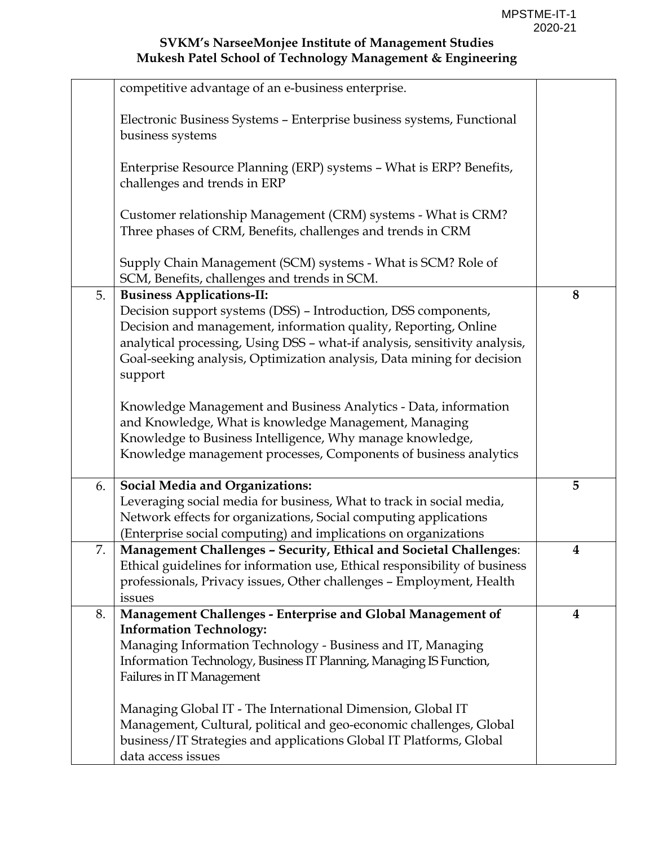|    | competitive advantage of an e-business enterprise.                                                                                                                                                                                                                                                                                       |                  |
|----|------------------------------------------------------------------------------------------------------------------------------------------------------------------------------------------------------------------------------------------------------------------------------------------------------------------------------------------|------------------|
|    | Electronic Business Systems - Enterprise business systems, Functional<br>business systems                                                                                                                                                                                                                                                |                  |
|    | Enterprise Resource Planning (ERP) systems - What is ERP? Benefits,<br>challenges and trends in ERP                                                                                                                                                                                                                                      |                  |
|    | Customer relationship Management (CRM) systems - What is CRM?<br>Three phases of CRM, Benefits, challenges and trends in CRM                                                                                                                                                                                                             |                  |
|    | Supply Chain Management (SCM) systems - What is SCM? Role of<br>SCM, Benefits, challenges and trends in SCM.                                                                                                                                                                                                                             |                  |
| 5. | <b>Business Applications-II:</b><br>Decision support systems (DSS) - Introduction, DSS components,<br>Decision and management, information quality, Reporting, Online<br>analytical processing, Using DSS - what-if analysis, sensitivity analysis,<br>Goal-seeking analysis, Optimization analysis, Data mining for decision<br>support | 8                |
|    | Knowledge Management and Business Analytics - Data, information<br>and Knowledge, What is knowledge Management, Managing<br>Knowledge to Business Intelligence, Why manage knowledge,<br>Knowledge management processes, Components of business analytics                                                                                |                  |
| 6. | <b>Social Media and Organizations:</b><br>Leveraging social media for business, What to track in social media,<br>Network effects for organizations, Social computing applications<br>(Enterprise social computing) and implications on organizations                                                                                    | 5                |
| 7. | Management Challenges - Security, Ethical and Societal Challenges:<br>Ethical guidelines for information use, Ethical responsibility of business<br>professionals, Privacy issues, Other challenges - Employment, Health<br>issues                                                                                                       | 4                |
| 8. | Management Challenges - Enterprise and Global Management of<br><b>Information Technology:</b><br>Managing Information Technology - Business and IT, Managing<br>Information Technology, Business IT Planning, Managing IS Function,<br>Failures in IT Management                                                                         | $\boldsymbol{4}$ |
|    | Managing Global IT - The International Dimension, Global IT<br>Management, Cultural, political and geo-economic challenges, Global<br>business/IT Strategies and applications Global IT Platforms, Global<br>data access issues                                                                                                          |                  |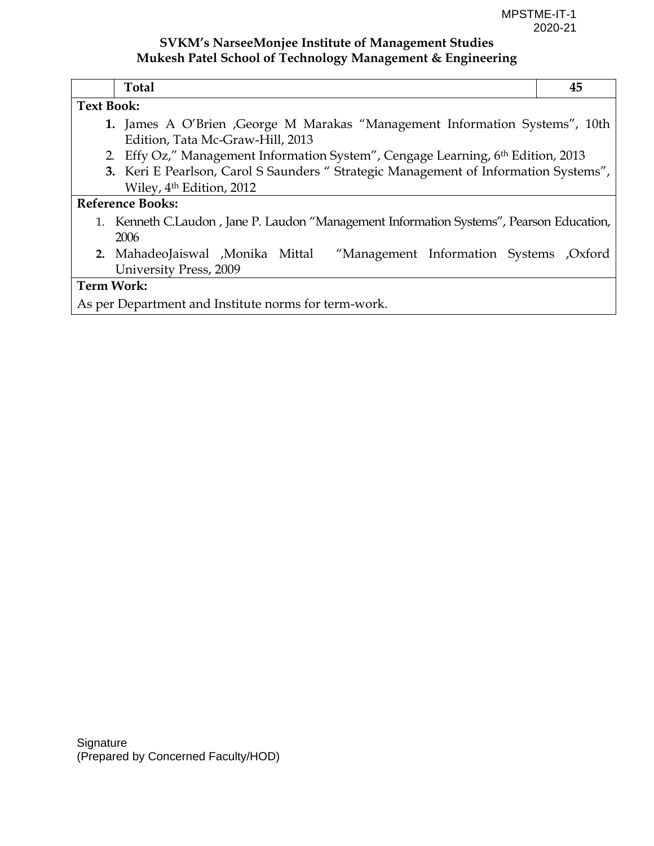| <b>Total</b>                                                                                                    | 45 |  |  |  |
|-----------------------------------------------------------------------------------------------------------------|----|--|--|--|
| <b>Text Book:</b>                                                                                               |    |  |  |  |
| 1. James A O'Brien, George M Marakas "Management Information Systems", 10th<br>Edition, Tata Mc-Graw-Hill, 2013 |    |  |  |  |
| 2. Effy Oz," Management Information System", Cengage Learning, 6th Edition, 2013                                |    |  |  |  |
| 3. Keri E Pearlson, Carol S Saunders " Strategic Management of Information Systems",                            |    |  |  |  |
| Wiley, 4 <sup>th</sup> Edition, 2012                                                                            |    |  |  |  |
| <b>Reference Books:</b>                                                                                         |    |  |  |  |
| 1. Kenneth C.Laudon, Jane P. Laudon "Management Information Systems", Pearson Education,                        |    |  |  |  |
| 2006                                                                                                            |    |  |  |  |
| 2. MahadeoJaiswal , Monika Mittal<br>"Management Information Systems , Oxford                                   |    |  |  |  |
| University Press, 2009                                                                                          |    |  |  |  |
| <b>Term Work:</b>                                                                                               |    |  |  |  |
| As per Department and Institute norms for term-work.                                                            |    |  |  |  |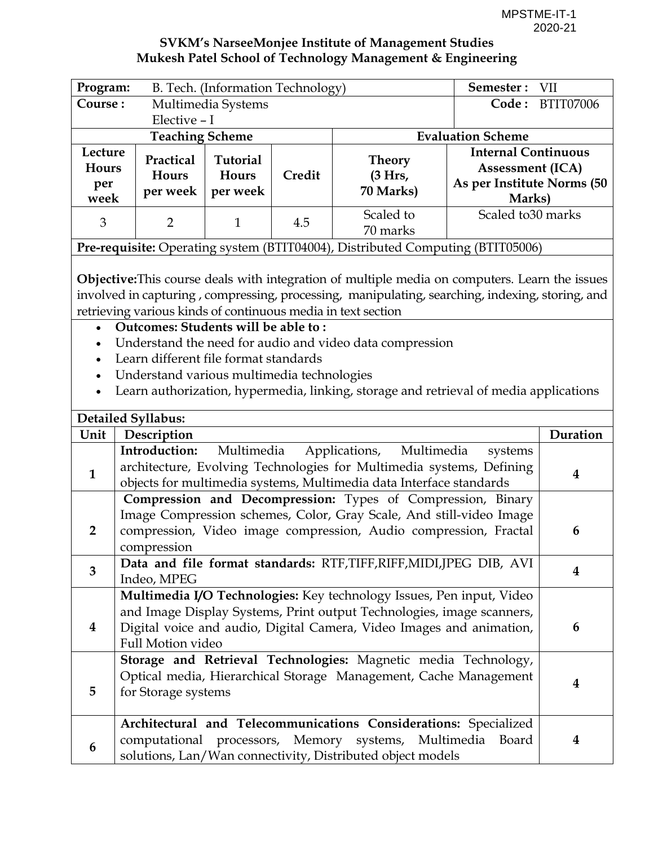| Program:                        |                                                                                                                                                                                                                                                                                                                                                                                                                                                                                                                                                             | B. Tech. (Information Technology)    |        |                                                                                                                                                                                                                       | Semester:                                                                                     | <b>VII</b> |  |
|---------------------------------|-------------------------------------------------------------------------------------------------------------------------------------------------------------------------------------------------------------------------------------------------------------------------------------------------------------------------------------------------------------------------------------------------------------------------------------------------------------------------------------------------------------------------------------------------------------|--------------------------------------|--------|-----------------------------------------------------------------------------------------------------------------------------------------------------------------------------------------------------------------------|-----------------------------------------------------------------------------------------------|------------|--|
| Course:<br>Multimedia Systems   |                                                                                                                                                                                                                                                                                                                                                                                                                                                                                                                                                             |                                      |        |                                                                                                                                                                                                                       | Code: BTIT07006                                                                               |            |  |
|                                 | Elective - I                                                                                                                                                                                                                                                                                                                                                                                                                                                                                                                                                |                                      |        |                                                                                                                                                                                                                       |                                                                                               |            |  |
|                                 | <b>Evaluation Scheme</b><br><b>Teaching Scheme</b>                                                                                                                                                                                                                                                                                                                                                                                                                                                                                                          |                                      |        |                                                                                                                                                                                                                       |                                                                                               |            |  |
| Lecture<br>Hours<br>per<br>week | Practical<br>Hours<br>per week                                                                                                                                                                                                                                                                                                                                                                                                                                                                                                                              | <b>Tutorial</b><br>Hours<br>per week | Credit | <b>Theory</b><br>(3 Hrs,<br>70 Marks)                                                                                                                                                                                 | <b>Internal Continuous</b><br><b>Assessment (ICA)</b><br>As per Institute Norms (50<br>Marks) |            |  |
| 3                               | $\overline{2}$                                                                                                                                                                                                                                                                                                                                                                                                                                                                                                                                              | $\mathbf{1}$                         | 4.5    | Scaled to<br>70 marks                                                                                                                                                                                                 | Scaled to 30 marks                                                                            |            |  |
|                                 |                                                                                                                                                                                                                                                                                                                                                                                                                                                                                                                                                             |                                      |        | Pre-requisite: Operating system (BTIT04004), Distributed Computing (BTIT05006)                                                                                                                                        |                                                                                               |            |  |
| $\bullet$                       | <b>Objective:</b> This course deals with integration of multiple media on computers. Learn the issues<br>involved in capturing, compressing, processing, manipulating, searching, indexing, storing, and<br>retrieving various kinds of continuous media in text section<br>Outcomes: Students will be able to:<br>Understand the need for audio and video data compression<br>Learn different file format standards<br>Understand various multimedia technologies<br>Learn authorization, hypermedia, linking, storage and retrieval of media applications |                                      |        |                                                                                                                                                                                                                       |                                                                                               |            |  |
|                                 | <b>Detailed Syllabus:</b>                                                                                                                                                                                                                                                                                                                                                                                                                                                                                                                                   |                                      |        |                                                                                                                                                                                                                       |                                                                                               |            |  |
| Unit                            | Description                                                                                                                                                                                                                                                                                                                                                                                                                                                                                                                                                 |                                      |        |                                                                                                                                                                                                                       |                                                                                               | Duration   |  |
| $\mathbf{1}$                    | Introduction:<br>Multimedia<br>Applications, Multimedia<br>systems<br>architecture, Evolving Technologies for Multimedia systems, Defining<br>4<br>objects for multimedia systems, Multimedia data Interface standards                                                                                                                                                                                                                                                                                                                                      |                                      |        |                                                                                                                                                                                                                       |                                                                                               |            |  |
| $\overline{2}$                  | Compression and Decompression: Types of Compression, Binary<br>Image Compression schemes, Color, Gray Scale, And still-video Image<br>compression, Video image compression, Audio compression, Fractal<br>6<br>compression                                                                                                                                                                                                                                                                                                                                  |                                      |        |                                                                                                                                                                                                                       |                                                                                               |            |  |
| 3                               | Indeo, MPEG                                                                                                                                                                                                                                                                                                                                                                                                                                                                                                                                                 |                                      |        | Data and file format standards: RTF,TIFF,RIFF,MIDI,JPEG DIB, AVI                                                                                                                                                      |                                                                                               | 4          |  |
| $\overline{\mathbf{4}}$         | Full Motion video                                                                                                                                                                                                                                                                                                                                                                                                                                                                                                                                           |                                      |        | Multimedia I/O Technologies: Key technology Issues, Pen input, Video<br>and Image Display Systems, Print output Technologies, image scanners,<br>Digital voice and audio, Digital Camera, Video Images and animation, |                                                                                               | 6          |  |
| 5                               | for Storage systems                                                                                                                                                                                                                                                                                                                                                                                                                                                                                                                                         |                                      |        | Storage and Retrieval Technologies: Magnetic media Technology,<br>Optical media, Hierarchical Storage Management, Cache Management                                                                                    |                                                                                               | 4          |  |
| 6                               |                                                                                                                                                                                                                                                                                                                                                                                                                                                                                                                                                             |                                      |        | Architectural and Telecommunications Considerations: Specialized<br>computational processors, Memory systems, Multimedia<br>solutions, Lan/Wan connectivity, Distributed object models                                | Board                                                                                         | 4          |  |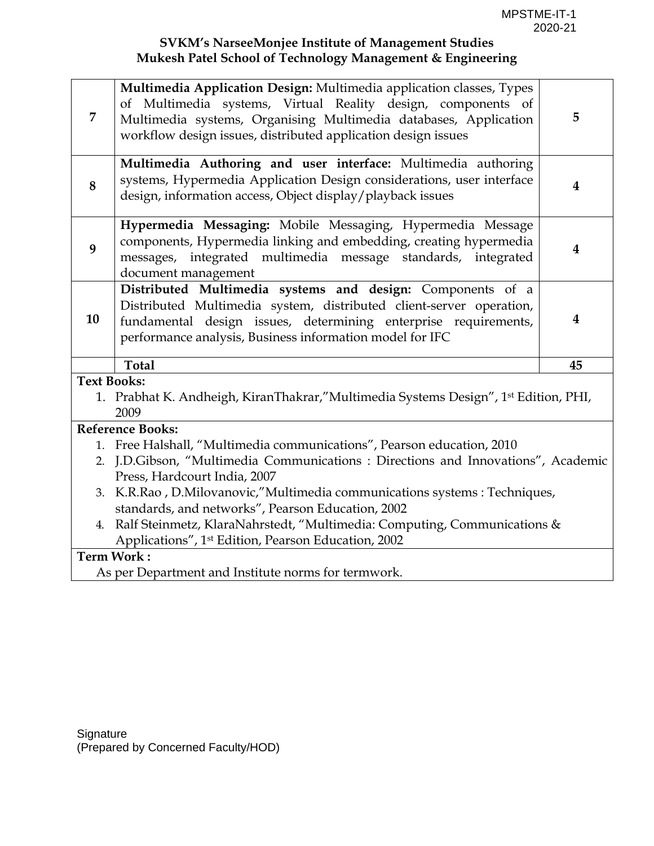| 7  | Multimedia Application Design: Multimedia application classes, Types<br>of Multimedia systems, Virtual Reality design, components of<br>Multimedia systems, Organising Multimedia databases, Application<br>workflow design issues, distributed application design issues | 5                       |
|----|---------------------------------------------------------------------------------------------------------------------------------------------------------------------------------------------------------------------------------------------------------------------------|-------------------------|
| 8  | Multimedia Authoring and user interface: Multimedia authoring<br>systems, Hypermedia Application Design considerations, user interface<br>design, information access, Object display/playback issues                                                                      | 4                       |
| 9  | Hypermedia Messaging: Mobile Messaging, Hypermedia Message<br>components, Hypermedia linking and embedding, creating hypermedia<br>messages, integrated multimedia message standards, integrated<br>document management                                                   | $\overline{\mathbf{4}}$ |
| 10 | Distributed Multimedia systems and design: Components of a<br>Distributed Multimedia system, distributed client-server operation,<br>fundamental design issues, determining enterprise requirements,<br>performance analysis, Business information model for IFC          | $\boldsymbol{4}$        |
|    | <b>Total</b>                                                                                                                                                                                                                                                              | 45                      |
|    | <b>Text Books:</b>                                                                                                                                                                                                                                                        |                         |
|    | 1. Prabhat K. Andheigh, KiranThakrar,"Multimedia Systems Design", 1 <sup>st</sup> Edition, PHI,                                                                                                                                                                           |                         |
|    | 2009                                                                                                                                                                                                                                                                      |                         |
|    | <b>Reference Books:</b><br>1. Free Halshall, "Multimedia communications", Pearson education, 2010                                                                                                                                                                         |                         |
|    | 2. J.D.Gibson, "Multimedia Communications : Directions and Innovations", Academic                                                                                                                                                                                         |                         |
|    | Press, Hardcourt India, 2007                                                                                                                                                                                                                                              |                         |
|    | 3. K.R.Rao, D.Milovanovic,"Multimedia communications systems : Techniques,                                                                                                                                                                                                |                         |
|    | standards, and networks", Pearson Education, 2002                                                                                                                                                                                                                         |                         |
| 4. | Ralf Steinmetz, KlaraNahrstedt, "Multimedia: Computing, Communications &                                                                                                                                                                                                  |                         |
|    | Applications", 1st Edition, Pearson Education, 2002                                                                                                                                                                                                                       |                         |
|    | <b>Term Work:</b>                                                                                                                                                                                                                                                         |                         |
|    | As per Department and Institute norms for termwork.                                                                                                                                                                                                                       |                         |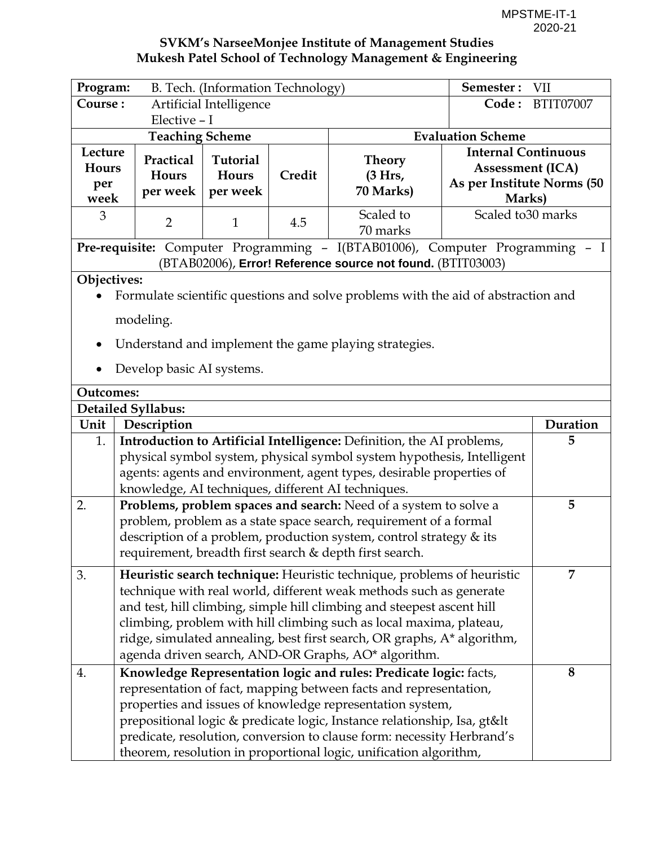| Program:                               |                                                                                                                                                                                                                                                                               | B. Tech. (Information Technology)    |        |                                                                                                                                                                                                                                                                                                                                                                                                                                 | Semester:                                                                                     | <b>VII</b> |  |
|----------------------------------------|-------------------------------------------------------------------------------------------------------------------------------------------------------------------------------------------------------------------------------------------------------------------------------|--------------------------------------|--------|---------------------------------------------------------------------------------------------------------------------------------------------------------------------------------------------------------------------------------------------------------------------------------------------------------------------------------------------------------------------------------------------------------------------------------|-----------------------------------------------------------------------------------------------|------------|--|
| Artificial Intelligence<br>Course:     |                                                                                                                                                                                                                                                                               |                                      | Code:  | <b>BTIT07007</b>                                                                                                                                                                                                                                                                                                                                                                                                                |                                                                                               |            |  |
|                                        | Elective - I                                                                                                                                                                                                                                                                  |                                      |        |                                                                                                                                                                                                                                                                                                                                                                                                                                 |                                                                                               |            |  |
|                                        | <b>Evaluation Scheme</b><br><b>Teaching Scheme</b>                                                                                                                                                                                                                            |                                      |        |                                                                                                                                                                                                                                                                                                                                                                                                                                 |                                                                                               |            |  |
| Lecture<br><b>Hours</b><br>per<br>week | Practical<br>Hours<br>per week                                                                                                                                                                                                                                                | <b>Tutorial</b><br>Hours<br>per week | Credit | <b>Theory</b><br>(3 Hrs,<br>70 Marks)                                                                                                                                                                                                                                                                                                                                                                                           | <b>Internal Continuous</b><br><b>Assessment (ICA)</b><br>As per Institute Norms (50<br>Marks) |            |  |
| 3                                      | $\overline{2}$                                                                                                                                                                                                                                                                | $\mathbf{1}$                         | 4.5    | Scaled to<br>70 marks                                                                                                                                                                                                                                                                                                                                                                                                           | Scaled to 30 marks                                                                            |            |  |
|                                        |                                                                                                                                                                                                                                                                               |                                      |        | Pre-requisite: Computer Programming - I(BTAB01006), Computer Programming - I<br>(BTAB02006), Error! Reference source not found. (BTIT03003)                                                                                                                                                                                                                                                                                     |                                                                                               |            |  |
| Objectives:<br><b>Outcomes:</b>        | modeling.<br>Develop basic AI systems.                                                                                                                                                                                                                                        |                                      |        | Formulate scientific questions and solve problems with the aid of abstraction and<br>Understand and implement the game playing strategies.                                                                                                                                                                                                                                                                                      |                                                                                               |            |  |
| <b>Detailed Syllabus:</b>              |                                                                                                                                                                                                                                                                               |                                      |        |                                                                                                                                                                                                                                                                                                                                                                                                                                 |                                                                                               |            |  |
| Unit                                   | Description                                                                                                                                                                                                                                                                   |                                      |        |                                                                                                                                                                                                                                                                                                                                                                                                                                 |                                                                                               | Duration   |  |
| 1.                                     |                                                                                                                                                                                                                                                                               |                                      |        |                                                                                                                                                                                                                                                                                                                                                                                                                                 |                                                                                               | 5          |  |
|                                        | Introduction to Artificial Intelligence: Definition, the AI problems,<br>physical symbol system, physical symbol system hypothesis, Intelligent<br>agents: agents and environment, agent types, desirable properties of<br>knowledge, AI techniques, different AI techniques. |                                      |        |                                                                                                                                                                                                                                                                                                                                                                                                                                 |                                                                                               |            |  |
| 2.                                     | 5<br>Problems, problem spaces and search: Need of a system to solve a<br>problem, problem as a state space search, requirement of a formal<br>description of a problem, production system, control strategy & its<br>requirement, breadth first search & depth first search.  |                                      |        |                                                                                                                                                                                                                                                                                                                                                                                                                                 |                                                                                               |            |  |
| 3.                                     |                                                                                                                                                                                                                                                                               |                                      |        | Heuristic search technique: Heuristic technique, problems of heuristic<br>technique with real world, different weak methods such as generate<br>and test, hill climbing, simple hill climbing and steepest ascent hill<br>climbing, problem with hill climbing such as local maxima, plateau,<br>ridge, simulated annealing, best first search, OR graphs, A* algorithm,<br>agenda driven search, AND-OR Graphs, AO* algorithm. |                                                                                               | 7          |  |
| 4.                                     |                                                                                                                                                                                                                                                                               |                                      |        | Knowledge Representation logic and rules: Predicate logic: facts,<br>representation of fact, mapping between facts and representation,<br>properties and issues of knowledge representation system,<br>prepositional logic & predicate logic, Instance relationship, Isa, gt<<br>predicate, resolution, conversion to clause form: necessity Herbrand's<br>theorem, resolution in proportional logic, unification algorithm,    |                                                                                               | 8          |  |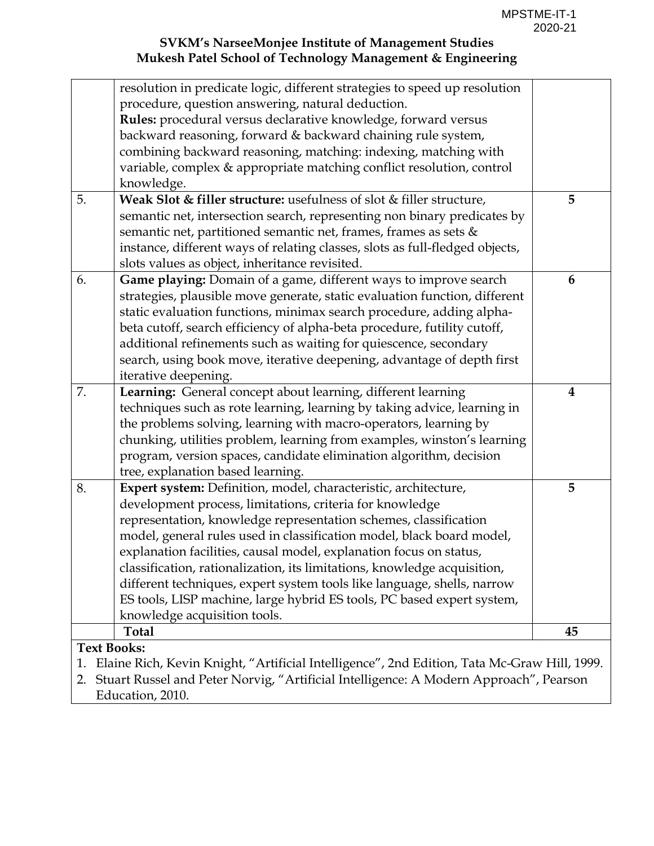| resolution in predicate logic, different strategies to speed up resolution                        |    |
|---------------------------------------------------------------------------------------------------|----|
| procedure, question answering, natural deduction.                                                 |    |
| Rules: procedural versus declarative knowledge, forward versus                                    |    |
| backward reasoning, forward & backward chaining rule system,                                      |    |
| combining backward reasoning, matching: indexing, matching with                                   |    |
| variable, complex & appropriate matching conflict resolution, control                             |    |
| knowledge.                                                                                        |    |
| 5.<br>Weak Slot & filler structure: usefulness of slot & filler structure,                        | 5  |
| semantic net, intersection search, representing non binary predicates by                          |    |
| semantic net, partitioned semantic net, frames, frames as sets &                                  |    |
| instance, different ways of relating classes, slots as full-fledged objects,                      |    |
| slots values as object, inheritance revisited.                                                    |    |
| Game playing: Domain of a game, different ways to improve search<br>6.                            | 6  |
| strategies, plausible move generate, static evaluation function, different                        |    |
| static evaluation functions, minimax search procedure, adding alpha-                              |    |
| beta cutoff, search efficiency of alpha-beta procedure, futility cutoff,                          |    |
| additional refinements such as waiting for quiescence, secondary                                  |    |
| search, using book move, iterative deepening, advantage of depth first                            |    |
| iterative deepening.                                                                              |    |
| 7.<br>Learning: General concept about learning, different learning                                | 4  |
| techniques such as rote learning, learning by taking advice, learning in                          |    |
| the problems solving, learning with macro-operators, learning by                                  |    |
| chunking, utilities problem, learning from examples, winston's learning                           |    |
| program, version spaces, candidate elimination algorithm, decision                                |    |
| tree, explanation based learning.                                                                 |    |
| 8.<br>Expert system: Definition, model, characteristic, architecture,                             | 5  |
| development process, limitations, criteria for knowledge                                          |    |
| representation, knowledge representation schemes, classification                                  |    |
| model, general rules used in classification model, black board model,                             |    |
| explanation facilities, causal model, explanation focus on status,                                |    |
| classification, rationalization, its limitations, knowledge acquisition,                          |    |
| different techniques, expert system tools like language, shells, narrow                           |    |
| ES tools, LISP machine, large hybrid ES tools, PC based expert system,                            |    |
| knowledge acquisition tools.                                                                      |    |
| <b>Total</b>                                                                                      | 45 |
| <b>Text Books:</b>                                                                                |    |
| Elaine Rich, Kevin Knight, "Artificial Intelligence", 2nd Edition, Tata Mc-Graw Hill, 1999.<br>1. |    |
| Stuart Russel and Peter Norvig, "Artificial Intelligence: A Modern Approach", Pearson<br>2.       |    |
| Education, 2010.                                                                                  |    |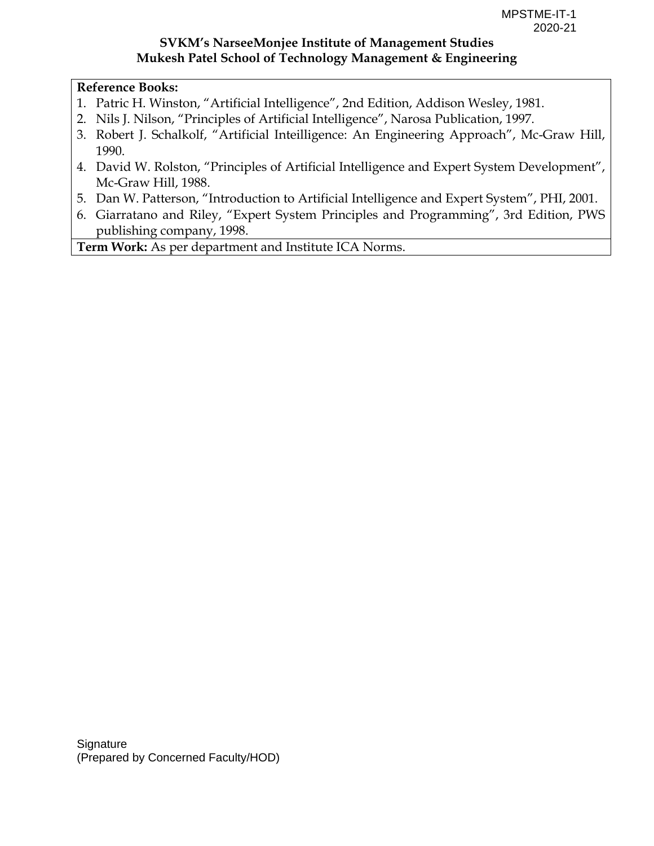#### **Reference Books:**

- 1. Patric H. Winston, "Artificial Intelligence", 2nd Edition, Addison Wesley, 1981.
- 2. Nils J. Nilson, "Principles of Artificial Intelligence", Narosa Publication, 1997.
- 3. Robert J. Schalkolf, "Artificial Inteilligence: An Engineering Approach", Mc-Graw Hill, 1990.
- 4. David W. Rolston, "Principles of Artificial Intelligence and Expert System Development", Mc-Graw Hill, 1988.
- 5. Dan W. Patterson, "Introduction to Artificial Intelligence and Expert System", PHI, 2001.
- 6. Giarratano and Riley, "Expert System Principles and Programming", 3rd Edition, PWS publishing company, 1998.

**Term Work:** As per department and Institute ICA Norms.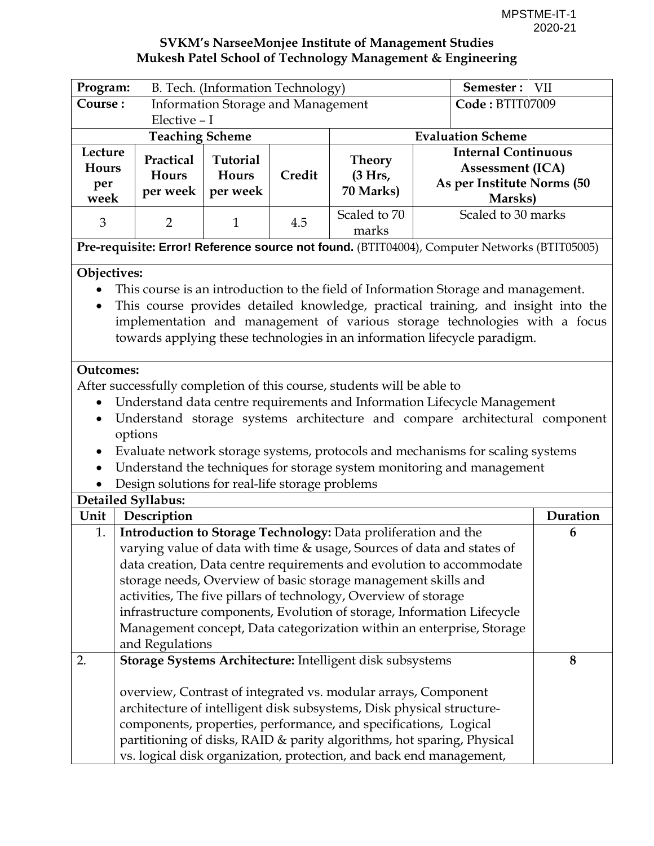| Program:                                           | B. Tech. (Information Technology)                                                                                                      |                 | Semester: VII   |                                                                                              |  |                               |          |
|----------------------------------------------------|----------------------------------------------------------------------------------------------------------------------------------------|-----------------|-----------------|----------------------------------------------------------------------------------------------|--|-------------------------------|----------|
|                                                    | Course:<br><b>Information Storage and Management</b>                                                                                   |                 | Code: BTIT07009 |                                                                                              |  |                               |          |
|                                                    | Elective - I                                                                                                                           |                 |                 |                                                                                              |  |                               |          |
| <b>Teaching Scheme</b><br><b>Evaluation Scheme</b> |                                                                                                                                        |                 |                 |                                                                                              |  |                               |          |
| Lecture                                            | Practical                                                                                                                              | <b>Tutorial</b> |                 | <b>Theory</b>                                                                                |  | <b>Internal Continuous</b>    |          |
| <b>Hours</b>                                       | Hours                                                                                                                                  | Hours           | Credit          | (3 Hrs,                                                                                      |  | <b>Assessment (ICA)</b>       |          |
| per                                                | per week                                                                                                                               | per week        |                 | 70 Marks)                                                                                    |  | As per Institute Norms (50    |          |
| week                                               |                                                                                                                                        |                 |                 | Scaled to 70                                                                                 |  | Marsks)<br>Scaled to 30 marks |          |
| 3                                                  | $\overline{2}$                                                                                                                         | $\mathbf{1}$    | 4.5             | marks                                                                                        |  |                               |          |
|                                                    |                                                                                                                                        |                 |                 | Pre-requisite: Error! Reference source not found. (BTIT04004), Computer Networks (BTIT05005) |  |                               |          |
|                                                    |                                                                                                                                        |                 |                 |                                                                                              |  |                               |          |
| Objectives:                                        |                                                                                                                                        |                 |                 |                                                                                              |  |                               |          |
|                                                    |                                                                                                                                        |                 |                 | This course is an introduction to the field of Information Storage and management.           |  |                               |          |
| $\bullet$                                          |                                                                                                                                        |                 |                 | This course provides detailed knowledge, practical training, and insight into the            |  |                               |          |
|                                                    |                                                                                                                                        |                 |                 | implementation and management of various storage technologies with a focus                   |  |                               |          |
|                                                    |                                                                                                                                        |                 |                 | towards applying these technologies in an information lifecycle paradigm.                    |  |                               |          |
|                                                    |                                                                                                                                        |                 |                 |                                                                                              |  |                               |          |
| <b>Outcomes:</b>                                   |                                                                                                                                        |                 |                 |                                                                                              |  |                               |          |
|                                                    |                                                                                                                                        |                 |                 | After successfully completion of this course, students will be able to                       |  |                               |          |
|                                                    |                                                                                                                                        |                 |                 | Understand data centre requirements and Information Lifecycle Management                     |  |                               |          |
|                                                    | Understand storage systems architecture and compare architectural component                                                            |                 |                 |                                                                                              |  |                               |          |
|                                                    | options                                                                                                                                |                 |                 |                                                                                              |  |                               |          |
|                                                    | Evaluate network storage systems, protocols and mechanisms for scaling systems<br>$\bullet$                                            |                 |                 |                                                                                              |  |                               |          |
|                                                    | Understand the techniques for storage system monitoring and management<br>$\bullet$<br>Design solutions for real-life storage problems |                 |                 |                                                                                              |  |                               |          |
|                                                    | <b>Detailed Syllabus:</b>                                                                                                              |                 |                 |                                                                                              |  |                               |          |
| Unit                                               | Description                                                                                                                            |                 |                 |                                                                                              |  |                               | Duration |
| 1.                                                 |                                                                                                                                        |                 |                 | Introduction to Storage Technology: Data proliferation and the                               |  |                               | 6        |
|                                                    |                                                                                                                                        |                 |                 | varying value of data with time & usage, Sources of data and states of                       |  |                               |          |
|                                                    |                                                                                                                                        |                 |                 | data creation, Data centre requirements and evolution to accommodate                         |  |                               |          |
|                                                    |                                                                                                                                        |                 |                 | storage needs, Overview of basic storage management skills and                               |  |                               |          |
|                                                    |                                                                                                                                        |                 |                 | activities, The five pillars of technology, Overview of storage                              |  |                               |          |
|                                                    |                                                                                                                                        |                 |                 | infrastructure components, Evolution of storage, Information Lifecycle                       |  |                               |          |
|                                                    |                                                                                                                                        |                 |                 | Management concept, Data categorization within an enterprise, Storage                        |  |                               |          |
|                                                    | and Regulations                                                                                                                        |                 |                 |                                                                                              |  |                               |          |
| 2.                                                 |                                                                                                                                        |                 |                 | Storage Systems Architecture: Intelligent disk subsystems                                    |  |                               | 8        |
|                                                    |                                                                                                                                        |                 |                 |                                                                                              |  |                               |          |
|                                                    |                                                                                                                                        |                 |                 | overview, Contrast of integrated vs. modular arrays, Component                               |  |                               |          |
|                                                    |                                                                                                                                        |                 |                 | architecture of intelligent disk subsystems, Disk physical structure-                        |  |                               |          |
|                                                    |                                                                                                                                        |                 |                 | components, properties, performance, and specifications, Logical                             |  |                               |          |
|                                                    |                                                                                                                                        |                 |                 | partitioning of disks, RAID & parity algorithms, hot sparing, Physical                       |  |                               |          |
|                                                    |                                                                                                                                        |                 |                 | vs. logical disk organization, protection, and back end management,                          |  |                               |          |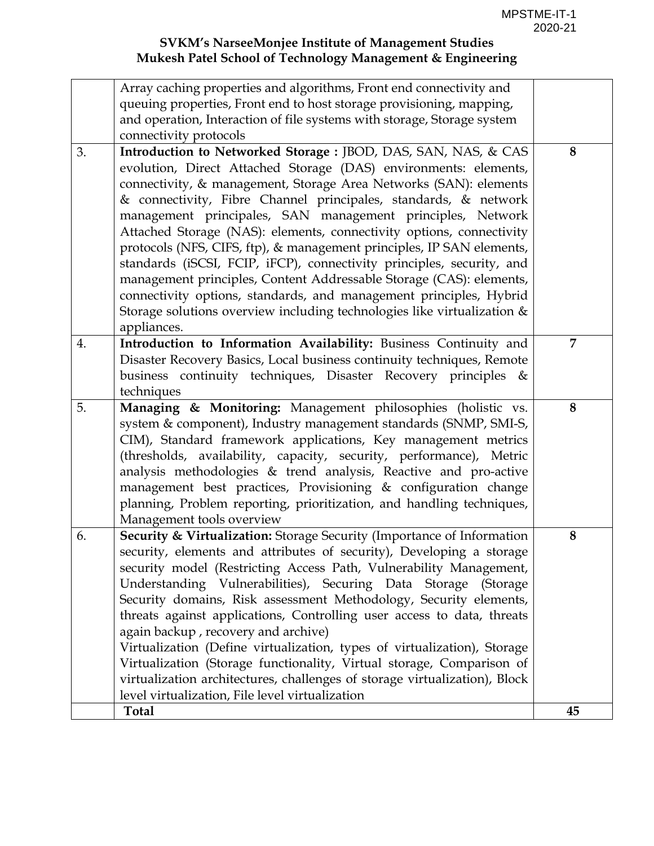|    | Array caching properties and algorithms, Front end connectivity and                                                                  |   |
|----|--------------------------------------------------------------------------------------------------------------------------------------|---|
|    | queuing properties, Front end to host storage provisioning, mapping,                                                                 |   |
|    | and operation, Interaction of file systems with storage, Storage system                                                              |   |
|    | connectivity protocols                                                                                                               |   |
| 3. | Introduction to Networked Storage : JBOD, DAS, SAN, NAS, & CAS                                                                       | 8 |
|    | evolution, Direct Attached Storage (DAS) environments: elements,                                                                     |   |
|    | connectivity, & management, Storage Area Networks (SAN): elements                                                                    |   |
|    | & connectivity, Fibre Channel principales, standards, & network<br>management principales, SAN management principles, Network        |   |
|    | Attached Storage (NAS): elements, connectivity options, connectivity                                                                 |   |
|    | protocols (NFS, CIFS, ftp), & management principles, IP SAN elements,                                                                |   |
|    | standards (iSCSI, FCIP, iFCP), connectivity principles, security, and                                                                |   |
|    | management principles, Content Addressable Storage (CAS): elements,                                                                  |   |
|    | connectivity options, standards, and management principles, Hybrid                                                                   |   |
|    | Storage solutions overview including technologies like virtualization &                                                              |   |
|    | appliances.                                                                                                                          |   |
| 4. | Introduction to Information Availability: Business Continuity and                                                                    | 7 |
|    | Disaster Recovery Basics, Local business continuity techniques, Remote                                                               |   |
|    | business continuity techniques, Disaster Recovery principles &                                                                       |   |
|    | techniques                                                                                                                           |   |
| 5. | Managing & Monitoring: Management philosophies (holistic vs.                                                                         | 8 |
|    | system & component), Industry management standards (SNMP, SMI-S,                                                                     |   |
|    | CIM), Standard framework applications, Key management metrics                                                                        |   |
|    | (thresholds, availability, capacity, security, performance), Metric                                                                  |   |
|    | analysis methodologies & trend analysis, Reactive and pro-active                                                                     |   |
|    | management best practices, Provisioning & configuration change                                                                       |   |
|    | planning, Problem reporting, prioritization, and handling techniques,                                                                |   |
|    | Management tools overview                                                                                                            |   |
| 6. | Security & Virtualization: Storage Security (Importance of Information                                                               | 8 |
|    | security, elements and attributes of security), Developing a storage                                                                 |   |
|    | security model (Restricting Access Path, Vulnerability Management,<br>Understanding Vulnerabilities), Securing Data Storage (Storage |   |
|    | Security domains, Risk assessment Methodology, Security elements,                                                                    |   |
|    | threats against applications, Controlling user access to data, threats                                                               |   |
|    |                                                                                                                                      |   |
|    |                                                                                                                                      |   |
|    | again backup, recovery and archive)                                                                                                  |   |
|    | Virtualization (Define virtualization, types of virtualization), Storage                                                             |   |
|    | Virtualization (Storage functionality, Virtual storage, Comparison of                                                                |   |
|    | virtualization architectures, challenges of storage virtualization), Block<br>level virtualization, File level virtualization        |   |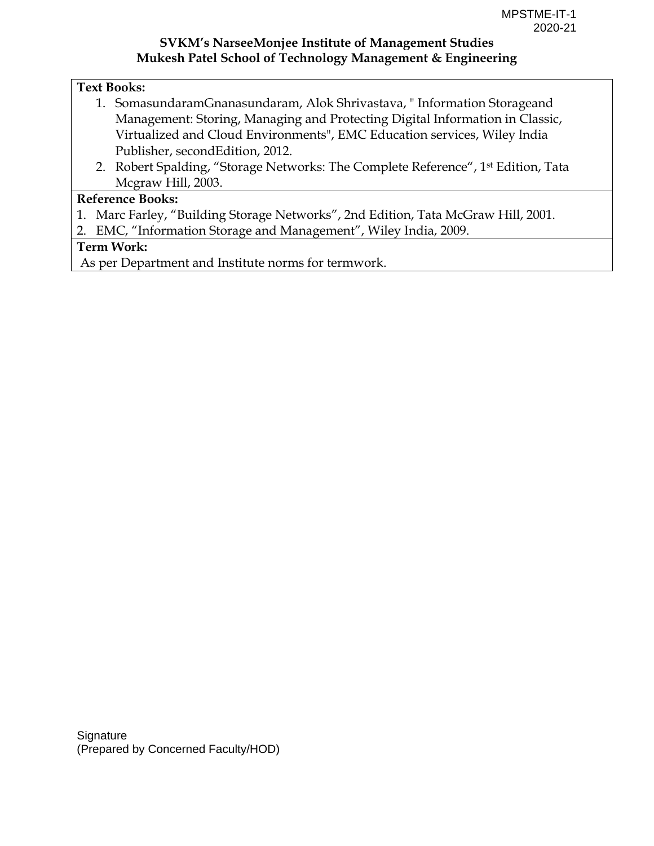#### **Text Books:**

- 1. SomasundaramGnanasundaram, Alok Shrivastava, " Information Storageand Management: Storing, Managing and Protecting Digital Information in Classic, Virtualized and Cloud Environments", EMC Education services, Wiley lndia Publisher, secondEdition, 2012.
- 2. Robert Spalding, "Storage Networks: The Complete Reference", 1<sup>st</sup> Edition, Tata Mcgraw Hill, 2003.

#### **Reference Books:**

- 1. Marc Farley, "Building Storage Networks", 2nd Edition, Tata McGraw Hill, 2001.
- 2. EMC, "Information Storage and Management", Wiley India, 2009.

#### **Term Work:**

As per Department and Institute norms for termwork.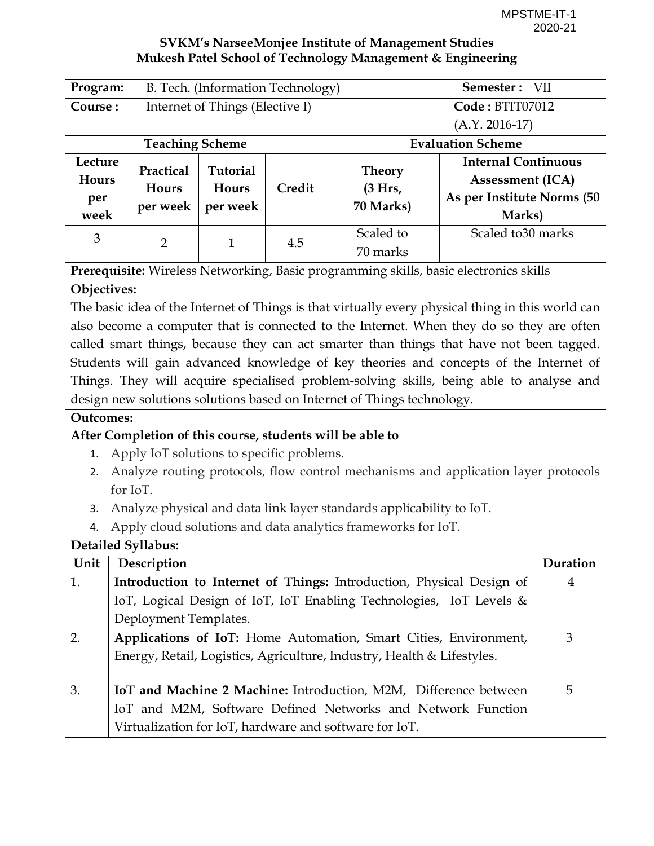| Program:                        | B. Tech. (Information Technology)     | Semester: VII                               |        |                                       |                                                                                               |  |
|---------------------------------|---------------------------------------|---------------------------------------------|--------|---------------------------------------|-----------------------------------------------------------------------------------------------|--|
| Course:                         |                                       | Internet of Things (Elective I)             |        |                                       | Code: BTIT07012                                                                               |  |
|                                 |                                       |                                             |        |                                       | $(A.Y. 2016-17)$                                                                              |  |
|                                 | <b>Teaching Scheme</b>                |                                             |        | <b>Evaluation Scheme</b>              |                                                                                               |  |
| Lecture<br>Hours<br>per<br>week | Practical<br><b>Hours</b><br>per week | <b>Tutorial</b><br><b>Hours</b><br>per week | Credit | <b>Theory</b><br>(3 Hrs,<br>70 Marks) | <b>Internal Continuous</b><br><b>Assessment (ICA)</b><br>As per Institute Norms (50<br>Marks) |  |
| 3                               | $\overline{2}$                        | 1                                           | 4.5    | Scaled to<br>70 marks                 | Scaled to 30 marks                                                                            |  |

**Prerequisite:** Wireless Networking, Basic programming skills, basic electronics skills

# **Objectives:**

The basic idea of the Internet of Things is that virtually every physical thing in this world can also become a computer that is connected to the Internet. When they do so they are often called smart things, because they can act smarter than things that have not been tagged. Students will gain advanced knowledge of key theories and concepts of the Internet of Things. They will acquire specialised problem-solving skills, being able to analyse and design new solutions solutions based on Internet of Things technology.

## **Outcomes:**

# **After Completion of this course, students will be able to**

- 1. Apply IoT solutions to specific problems.
- 2. Analyze routing protocols, flow control mechanisms and application layer protocols for IoT.
- 3. Analyze physical and data link layer standards applicability to IoT.
- 4. Apply cloud solutions and data analytics frameworks for IoT.

| Detailed Syllabus: |                                                                        |          |  |  |  |
|--------------------|------------------------------------------------------------------------|----------|--|--|--|
| Unit               | Description                                                            | Duration |  |  |  |
| 1.                 | Introduction to Internet of Things: Introduction, Physical Design of   |          |  |  |  |
|                    | IoT, Logical Design of IoT, IoT Enabling Technologies, IoT Levels &    |          |  |  |  |
|                    | Deployment Templates.                                                  |          |  |  |  |
| $\overline{2}$ .   | Applications of IoT: Home Automation, Smart Cities, Environment,       | 3        |  |  |  |
|                    | Energy, Retail, Logistics, Agriculture, Industry, Health & Lifestyles. |          |  |  |  |
|                    |                                                                        |          |  |  |  |
| 3.                 | IoT and Machine 2 Machine: Introduction, M2M, Difference between       | 5.       |  |  |  |
|                    | IoT and M2M, Software Defined Networks and Network Function            |          |  |  |  |
|                    | Virtualization for IoT, hardware and software for IoT.                 |          |  |  |  |